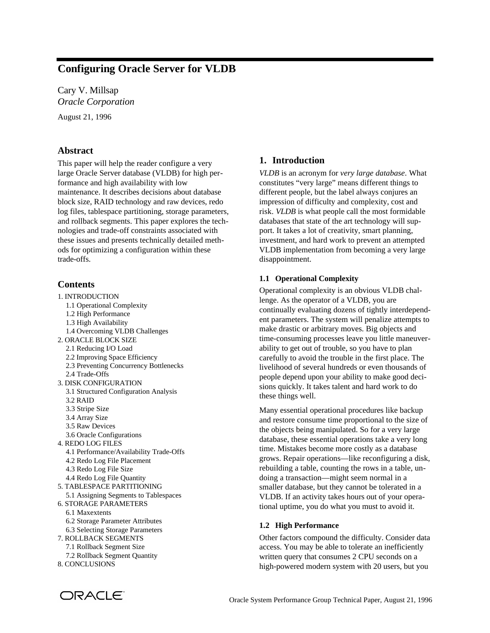# **Configuring Oracle Server for VLDB**

Cary V. Millsap *Oracle Corporation*

August 21, 1996

# **Abstract**

This paper will help the reader configure a very large Oracle Server database (VLDB) for high performance and high availability with low maintenance. It describes decisions about database block size, RAID technology and raw devices, redo log files, tablespace partitioning, storage parameters, and rollback segments. This paper explores the technologies and trade-off constraints associated with these issues and presents technically detailed methods for optimizing a configuration within these trade-offs.

# **Contents**

1. INTRODUCTION 1.1 Operational Complexity 1.2 High Performance 1.3 High Availability 1.4 Overcoming VLDB Challenges 2. ORACLE BLOCK SIZE 2.1 Reducing I/O Load 2.2 Improving Space Efficiency 2.3 Preventing Concurrency Bottlenecks 2.4 Trade-Offs 3. DISK CONFIGURATION 3.1 Structured Configuration Analysis 3.2 RAID 3.3 Stripe Size 3.4 Array Size 3.5 Raw Devices 3.6 Oracle Configurations 4. REDO LOG FILES 4.1 Performance/Availability Trade-Offs 4.2 Redo Log File Placement 4.3 Redo Log File Size 4.4 Redo Log File Quantity 5. TABLESPACE PARTITIONING 5.1 Assigning Segments to Tablespaces 6. STORAGE PARAMETERS 6.1 Maxextents 6.2 Storage Parameter Attributes 6.3 Selecting Storage Parameters 7. ROLLBACK SEGMENTS 7.1 Rollback Segment Size 7.2 Rollback Segment Quantity 8. CONCLUSIONS

# **1. Introduction**

*VLDB* is an acronym for *very large database*. What constitutes "very large" means different things to different people, but the label always conjures an impression of difficulty and complexity, cost and risk. *VLDB* is what people call the most formidable databases that state of the art technology will support. It takes a lot of creativity, smart planning, investment, and hard work to prevent an attempted VLDB implementation from becoming a very large disappointment.

### **1.1 Operational Complexity**

Operational complexity is an obvious VLDB challenge. As the operator of a VLDB, you are continually evaluating dozens of tightly interdependent parameters. The system will penalize attempts to make drastic or arbitrary moves. Big objects and time-consuming processes leave you little maneuverability to get out of trouble, so you have to plan carefully to avoid the trouble in the first place. The livelihood of several hundreds or even thousands of people depend upon your ability to make good decisions quickly. It takes talent and hard work to do these things well.

Many essential operational procedures like backup and restore consume time proportional to the size of the objects being manipulated. So for a very large database, these essential operations take a very long time. Mistakes become more costly as a database grows. Repair operations—like reconfiguring a disk, rebuilding a table, counting the rows in a table, undoing a transaction—might seem normal in a smaller database, but they cannot be tolerated in a VLDB. If an activity takes hours out of your operational uptime, you do what you must to avoid it.

### **1.2 High Performance**

Other factors compound the difficulty. Consider data access. You may be able to tolerate an inefficiently written query that consumes 2 CPU seconds on a high-powered modern system with 20 users, but you

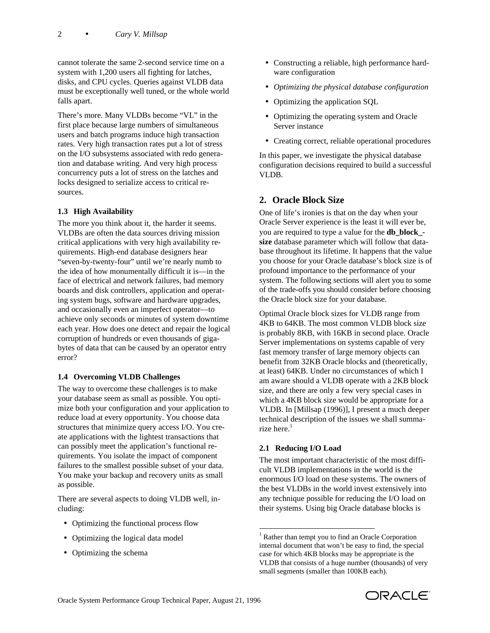cannot tolerate the same 2-second service time on a system with 1,200 users all fighting for latches, disks, and CPU cycles. Queries against VLDB data must be exceptionally well tuned, or the whole world falls apart.

There's more. Many VLDBs become "VL" in the first place because large numbers of simultaneous users and batch programs induce high transaction rates. Very high transaction rates put a lot of stress on the I/O subsystems associated with redo generation and database writing. And very high process concurrency puts a lot of stress on the latches and locks designed to serialize access to critical resources.

### **1.3 High Availability**

The more you think about it, the harder it seems. VLDBs are often the data sources driving mission critical applications with very high availability requirements. High-end database designers hear "seven-by-twenty-four" until we're nearly numb to the idea of how monumentally difficult it is—in the face of electrical and network failures, bad memory boards and disk controllers, application and operating system bugs, software and hardware upgrades, and occasionally even an imperfect operator—to achieve only seconds or minutes of system downtime each year. How does one detect and repair the logical corruption of hundreds or even thousands of gigabytes of data that can be caused by an operator entry error?

#### **1.4 Overcoming VLDB Challenges**

The way to overcome these challenges is to make your database seem as small as possible. You optimize both your configuration and your application to reduce load at every opportunity. You choose data structures that minimize query access I/O. You create applications with the lightest transactions that can possibly meet the application's functional requirements. You isolate the impact of component failures to the smallest possible subset of your data. You make your backup and recovery units as small as possible.

There are several aspects to doing VLDB well, including:

- Optimizing the functional process flow
- Optimizing the logical data model
- Optimizing the schema
- Constructing a reliable, high performance hardware configuration
- *Optimizing the physical database configuration*
- Optimizing the application SQL
- Optimizing the operating system and Oracle Server instance
- Creating correct, reliable operational procedures

In this paper, we investigate the physical database configuration decisions required to build a successful VLDB.

### **2. Oracle Block Size**

One of life's ironies is that on the day when your Oracle Server experience is the least it will ever be, you are required to type a value for the **db\_block\_ size** database parameter which will follow that database throughout its lifetime. It happens that the value you choose for your Oracle database's block size is of profound importance to the performance of your system. The following sections will alert you to some of the trade-offs you should consider before choosing the Oracle block size for your database.

Optimal Oracle block sizes for VLDB range from 4KB to 64KB. The most common VLDB block size is probably 8KB, with 16KB in second place. Oracle Server implementations on systems capable of very fast memory transfer of large memory objects can benefit from 32KB Oracle blocks and (theoretically, at least) 64KB. Under no circumstances of which I am aware should a VLDB operate with a 2KB block size, and there are only a few very special cases in which a 4KB block size would be appropriate for a VLDB. In [Millsap (1996)], I present a much deeper technical description of the issues we shall summarize here. $<sup>1</sup>$ </sup>

# **2.1 Reducing I/O Load**

-

The most important characteristic of the most difficult VLDB implementations in the world is the enormous I/O load on these systems. The owners of the best VLDBs in the world invest extensively into any technique possible for reducing the I/O load on their systems. Using big Oracle database blocks is



<sup>1</sup> Rather than tempt you to find an Oracle Corporation internal document that won't be easy to find, the special case for which 4KB blocks may be appropriate is the VLDB that consists of a huge number (thousands) of very small segments (smaller than 100KB each).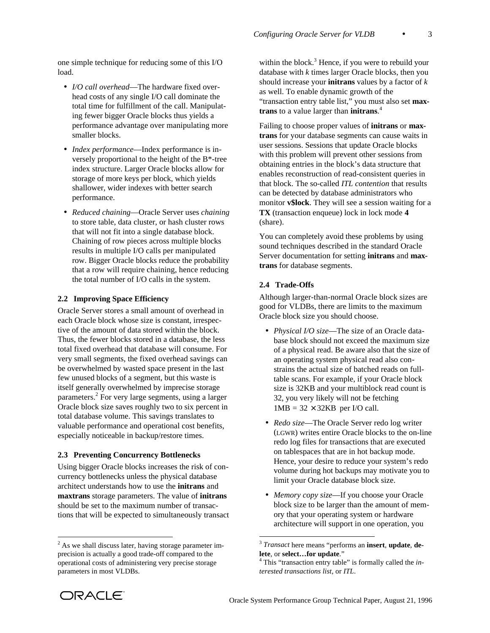one simple technique for reducing some of this I/O load.

- *I/O call overhead*—The hardware fixed overhead costs of any single I/O call dominate the total time for fulfillment of the call. Manipulating fewer bigger Oracle blocks thus yields a performance advantage over manipulating more smaller blocks.
- *Index performance*—Index performance is inversely proportional to the height of the B\*-tree index structure. Larger Oracle blocks allow for storage of more keys per block, which yields shallower, wider indexes with better search performance.
- *Reduced chaining*—Oracle Server uses *chaining* to store table, data cluster, or hash cluster rows that will not fit into a single database block. Chaining of row pieces across multiple blocks results in multiple I/O calls per manipulated row. Bigger Oracle blocks reduce the probability that a row will require chaining, hence reducing the total number of I/O calls in the system.

#### **2.2 Improving Space Efficiency**

Oracle Server stores a small amount of overhead in each Oracle block whose size is constant, irrespective of the amount of data stored within the block. Thus, the fewer blocks stored in a database, the less total fixed overhead that database will consume. For very small segments, the fixed overhead savings can be overwhelmed by wasted space present in the last few unused blocks of a segment, but this waste is itself generally overwhelmed by imprecise storage parameters.<sup>2</sup> For very large segments, using a larger Oracle block size saves roughly two to six percent in total database volume. This savings translates to valuable performance and operational cost benefits, especially noticeable in backup/restore times.

#### **2.3 Preventing Concurrency Bottlenecks**

Using bigger Oracle blocks increases the risk of concurrency bottlenecks unless the physical database architect understands how to use the **initrans** and **maxtrans** storage parameters. The value of **initrans** should be set to the maximum number of transactions that will be expected to simultaneously transact

within the block.<sup>3</sup> Hence, if you were to rebuild your database with *k* times larger Oracle blocks, then you should increase your **initrans** values by a factor of *k* as well. To enable dynamic growth of the "transaction entry table list," you must also set **maxtrans** to a value larger than **initrans**. 4

Failing to choose proper values of **initrans** or **maxtrans** for your database segments can cause waits in user sessions. Sessions that update Oracle blocks with this problem will prevent other sessions from obtaining entries in the block's data structure that enables reconstruction of read-consistent queries in that block. The so-called *ITL contention* that results can be detected by database administrators who monitor **v\$lock**. They will see a session waiting for a **TX** (transaction enqueue) lock in lock mode **4** (share).

You can completely avoid these problems by using sound techniques described in the standard Oracle Server documentation for setting **initrans** and **maxtrans** for database segments.

#### **2.4 Trade-Offs**

l

Although larger-than-normal Oracle block sizes are good for VLDBs, there are limits to the maximum Oracle block size you should choose.

- *Physical I/O size*—The size of an Oracle database block should not exceed the maximum size of a physical read. Be aware also that the size of an operating system physical read also constrains the actual size of batched reads on fulltable scans. For example, if your Oracle block size is 32KB and your multiblock read count is 32, you very likely will not be fetching  $1MB = 32 \times 32KB$  per I/O call.
- *Redo size*—The Oracle Server redo log writer (LGWR) writes entire Oracle blocks to the on-line redo log files for transactions that are executed on tablespaces that are in hot backup mode. Hence, your desire to reduce your system's redo volume during hot backups may motivate you to limit your Oracle database block size.
- *Memory copy size*—If you choose your Oracle block size to be larger than the amount of memory that your operating system or hardware architecture will support in one operation, you



<sup>&</sup>lt;sup>2</sup> As we shall discuss later, having storage parameter imprecision is actually a good trade-off compared to the operational costs of administering very precise storage parameters in most VLDBs.

<sup>3</sup> *Transact* here means "performs an **insert**, **update**, **delete**, or **select…for update**."

<sup>4</sup> This "transaction entry table" is formally called the *interested transactions list*, or *ITL*.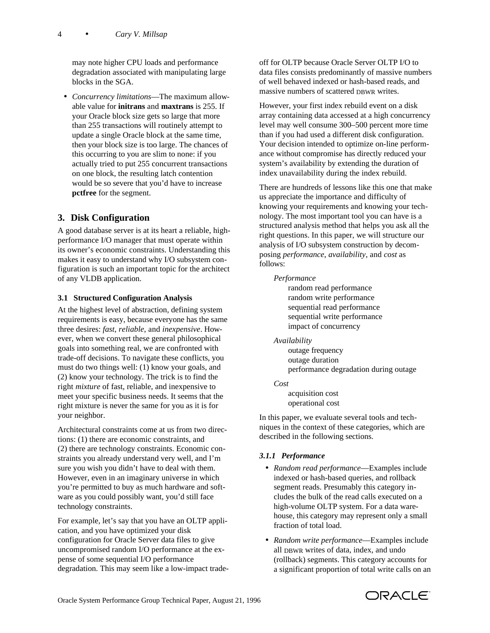may note higher CPU loads and performance degradation associated with manipulating large blocks in the SGA.

 • *Concurrency limitations*—The maximum allowable value for **initrans** and **maxtrans** is 255. If your Oracle block size gets so large that more than 255 transactions will routinely attempt to update a single Oracle block at the same time, then your block size is too large. The chances of this occurring to you are slim to none: if you actually tried to put 255 concurrent transactions on one block, the resulting latch contention would be so severe that you'd have to increase **pctfree** for the segment.

# **3. Disk Configuration**

A good database server is at its heart a reliable, highperformance I/O manager that must operate within its owner's economic constraints. Understanding this makes it easy to understand why I/O subsystem configuration is such an important topic for the architect of any VLDB application.

### **3.1 Structured Configuration Analysis**

At the highest level of abstraction, defining system requirements is easy, because everyone has the same three desires: *fast*, *reliable*, and *inexpensive*. However, when we convert these general philosophical goals into something real, we are confronted with trade-off decisions. To navigate these conflicts, you must do two things well: (1) know your goals, and (2) know your technology. The trick is to find the right *mixture* of fast, reliable, and inexpensive to meet your specific business needs. It seems that the right mixture is never the same for you as it is for your neighbor.

Architectural constraints come at us from two directions: (1) there are economic constraints, and (2) there are technology constraints. Economic constraints you already understand very well, and I'm sure you wish you didn't have to deal with them. However, even in an imaginary universe in which you're permitted to buy as much hardware and software as you could possibly want, you'd still face technology constraints.

For example, let's say that you have an OLTP application, and you have optimized your disk configuration for Oracle Server data files to give uncompromised random I/O performance at the expense of some sequential I/O performance degradation. This may seem like a low-impact tradeoff for OLTP because Oracle Server OLTP I/O to data files consists predominantly of massive numbers of well behaved indexed or hash-based reads, and massive numbers of scattered DBWR writes.

However, your first index rebuild event on a disk array containing data accessed at a high concurrency level may well consume 300–500 percent more time than if you had used a different disk configuration. Your decision intended to optimize on-line performance without compromise has directly reduced your system's availability by extending the duration of index unavailability during the index rebuild.

There are hundreds of lessons like this one that make us appreciate the importance and difficulty of knowing your requirements and knowing your technology. The most important tool you can have is a structured analysis method that helps you ask all the right questions. In this paper, we will structure our analysis of I/O subsystem construction by decomposing *performance*, *availability*, and *cost* as follows:

### *Performance*

random read performance random write performance sequential read performance sequential write performance impact of concurrency

#### *Availability*

outage frequency outage duration performance degradation during outage

#### *Cost*

acquisition cost operational cost

In this paper, we evaluate several tools and techniques in the context of these categories, which are described in the following sections.

### *3.1.1 Performance*

- *Random read performance*—Examples include indexed or hash-based queries, and rollback segment reads. Presumably this category includes the bulk of the read calls executed on a high-volume OLTP system. For a data warehouse, this category may represent only a small fraction of total load.
- *Random write performance*—Examples include all DBWR writes of data, index, and undo (rollback) segments. This category accounts for a significant proportion of total write calls on an

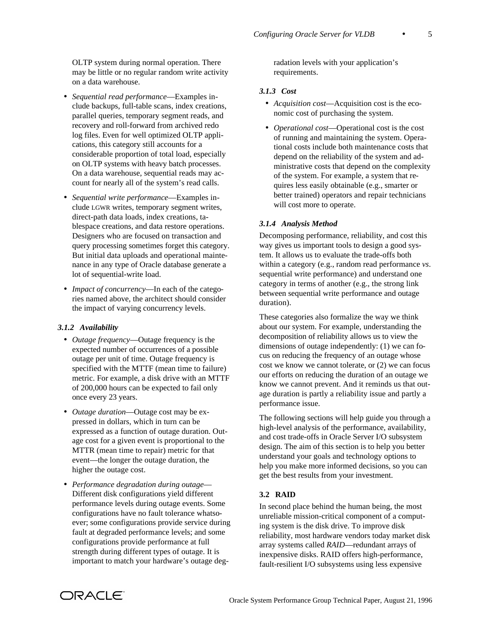OLTP system during normal operation. There may be little or no regular random write activity on a data warehouse.

- *Sequential read performance*—Examples include backups, full-table scans, index creations, parallel queries, temporary segment reads, and recovery and roll-forward from archived redo log files. Even for well optimized OLTP applications, this category still accounts for a considerable proportion of total load, especially on OLTP systems with heavy batch processes. On a data warehouse, sequential reads may account for nearly all of the system's read calls.
- *Sequential write performance*—Examples include LGWR writes, temporary segment writes, direct-path data loads, index creations, tablespace creations, and data restore operations. Designers who are focused on transaction and query processing sometimes forget this category. But initial data uploads and operational maintenance in any type of Oracle database generate a lot of sequential-write load.
- *Impact of concurrency*—In each of the categories named above, the architect should consider the impact of varying concurrency levels.

#### *3.1.2 Availability*

- *Outage frequency*—Outage frequency is the expected number of occurrences of a possible outage per unit of time. Outage frequency is specified with the MTTF (mean time to failure) metric. For example, a disk drive with an MTTF of 200,000 hours can be expected to fail only once every 23 years.
- *Outage duration*—Outage cost may be expressed in dollars, which in turn can be expressed as a function of outage duration. Outage cost for a given event is proportional to the MTTR (mean time to repair) metric for that event—the longer the outage duration, the higher the outage cost.
- *Performance degradation during outage* Different disk configurations yield different performance levels during outage events. Some configurations have no fault tolerance whatsoever; some configurations provide service during fault at degraded performance levels; and some configurations provide performance at full strength during different types of outage. It is important to match your hardware's outage deg-

radation levels with your application's requirements.

### *3.1.3 Cost*

- *Acquisition cost*—Acquisition cost is the economic cost of purchasing the system.
- *Operational cost*—Operational cost is the cost of running and maintaining the system. Operational costs include both maintenance costs that depend on the reliability of the system and administrative costs that depend on the complexity of the system. For example, a system that requires less easily obtainable (e.g., smarter or better trained) operators and repair technicians will cost more to operate.

### *3.1.4 Analysis Method*

Decomposing performance, reliability, and cost this way gives us important tools to design a good system. It allows us to evaluate the trade-offs both within a category (e.g., random read performance *vs*. sequential write performance) and understand one category in terms of another (e.g., the strong link between sequential write performance and outage duration).

These categories also formalize the way we think about our system. For example, understanding the decomposition of reliability allows us to view the dimensions of outage independently: (1) we can focus on reducing the frequency of an outage whose cost we know we cannot tolerate, or (2) we can focus our efforts on reducing the duration of an outage we know we cannot prevent. And it reminds us that outage duration is partly a reliability issue and partly a performance issue.

The following sections will help guide you through a high-level analysis of the performance, availability, and cost trade-offs in Oracle Server I/O subsystem design. The aim of this section is to help you better understand your goals and technology options to help you make more informed decisions, so you can get the best results from your investment.

### **3.2 RAID**

In second place behind the human being, the most unreliable mission-critical component of a computing system is the disk drive. To improve disk reliability, most hardware vendors today market disk array systems called *RAID*—redundant arrays of inexpensive disks. RAID offers high-performance, fault-resilient I/O subsystems using less expensive

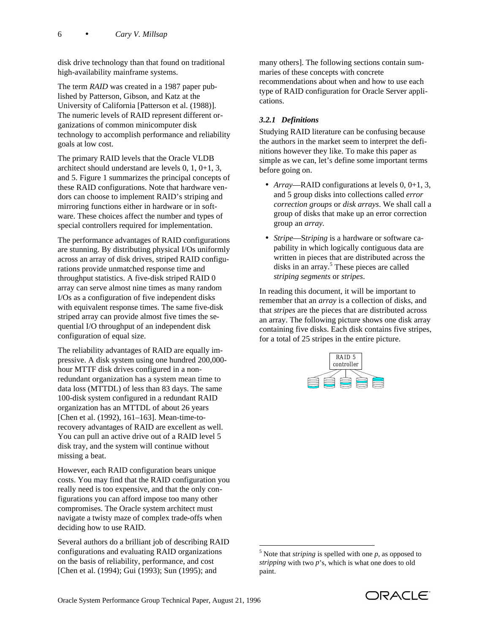disk drive technology than that found on traditional high-availability mainframe systems.

The term *RAID* was created in a 1987 paper published by Patterson, Gibson, and Katz at the University of California [Patterson et al. (1988)]. The numeric levels of RAID represent different organizations of common minicomputer disk technology to accomplish performance and reliability goals at low cost.

The primary RAID levels that the Oracle VLDB architect should understand are levels 0, 1, 0+1, 3, and 5. Figure 1 summarizes the principal concepts of these RAID configurations. Note that hardware vendors can choose to implement RAID's striping and mirroring functions either in hardware or in software. These choices affect the number and types of special controllers required for implementation.

The performance advantages of RAID configurations are stunning. By distributing physical I/Os uniformly across an array of disk drives, striped RAID configurations provide unmatched response time and throughput statistics. A five-disk striped RAID 0 array can serve almost nine times as many random I/Os as a configuration of five independent disks with equivalent response times. The same five-disk striped array can provide almost five times the sequential I/O throughput of an independent disk configuration of equal size.

The reliability advantages of RAID are equally impressive. A disk system using one hundred 200,000 hour MTTF disk drives configured in a nonredundant organization has a system mean time to data loss (MTTDL) of less than 83 days. The same 100-disk system configured in a redundant RAID organization has an MTTDL of about 26 years [Chen et al. (1992), 161–163]. Mean-time-torecovery advantages of RAID are excellent as well. You can pull an active drive out of a RAID level 5 disk tray, and the system will continue without missing a beat.

However, each RAID configuration bears unique costs. You may find that the RAID configuration you really need is too expensive, and that the only configurations you can afford impose too many other compromises. The Oracle system architect must navigate a twisty maze of complex trade-offs when deciding how to use RAID.

Several authors do a brilliant job of describing RAID configurations and evaluating RAID organizations on the basis of reliability, performance, and cost [Chen et al. (1994); Gui (1993); Sun (1995); and

many others]. The following sections contain summaries of these concepts with concrete recommendations about when and how to use each type of RAID configuration for Oracle Server applications.

# *3.2.1 Definitions*

Studying RAID literature can be confusing because the authors in the market seem to interpret the definitions however they like. To make this paper as simple as we can, let's define some important terms before going on.

- *Array*—RAID configurations at levels 0, 0+1, 3, and 5 group disks into collections called *error correction groups* or *disk arrays*. We shall call a group of disks that make up an error correction group an *array.*
- *Stripe*—S*triping* is a hardware or software capability in which logically contiguous data are written in pieces that are distributed across the disks in an array.<sup>5</sup> These pieces are called *striping segments* or *stripes*.

In reading this document, it will be important to remember that an *array* is a collection of disks, and that *stripes* are the pieces that are distributed across an array. The following picture shows one disk array containing five disks. Each disk contains five stripes, for a total of 25 stripes in the entire picture.



-

 $<sup>5</sup>$  Note that *striping* is spelled with one  $p$ , as opposed to</sup> *stripping* with two *p*'s, which is what one does to old paint.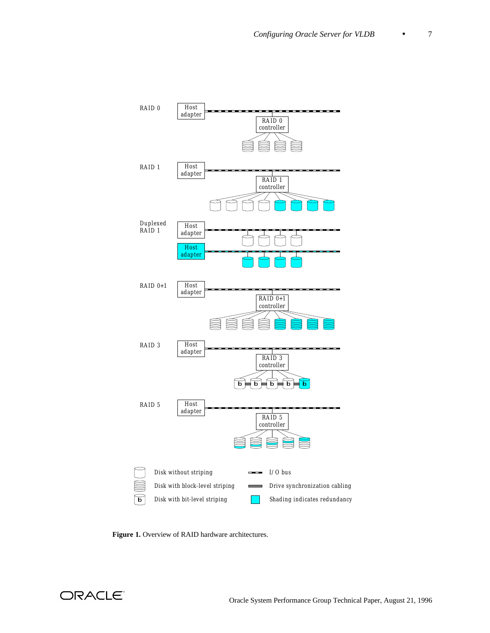

**Figure 1.** Overview of RAID hardware architectures.

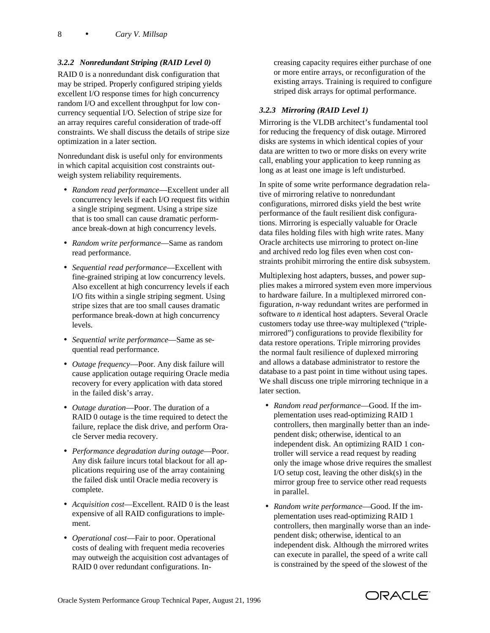### *3.2.2 Nonredundant Striping (RAID Level 0)*

RAID 0 is a nonredundant disk configuration that may be striped. Properly configured striping yields excellent I/O response times for high concurrency random I/O and excellent throughput for low concurrency sequential I/O. Selection of stripe size for an array requires careful consideration of trade-off constraints. We shall discuss the details of stripe size optimization in a later section.

Nonredundant disk is useful only for environments in which capital acquisition cost constraints outweigh system reliability requirements.

- *Random read performance*—Excellent under all concurrency levels if each I/O request fits within a single striping segment. Using a stripe size that is too small can cause dramatic performance break-down at high concurrency levels.
- *Random write performance*—Same as random read performance.
- *Sequential read performance*—Excellent with fine-grained striping at low concurrency levels. Also excellent at high concurrency levels if each I/O fits within a single striping segment. Using stripe sizes that are too small causes dramatic performance break-down at high concurrency levels.
- *Sequential write performance*—Same as sequential read performance.
- *Outage frequency*—Poor. Any disk failure will cause application outage requiring Oracle media recovery for every application with data stored in the failed disk's array.
- *Outage duration*—Poor. The duration of a RAID 0 outage is the time required to detect the failure, replace the disk drive, and perform Oracle Server media recovery.
- *Performance degradation during outage*—Poor. Any disk failure incurs total blackout for all applications requiring use of the array containing the failed disk until Oracle media recovery is complete.
- *Acquisition cost*—Excellent. RAID 0 is the least expensive of all RAID configurations to implement.
- *Operational cost*—Fair to poor. Operational costs of dealing with frequent media recoveries may outweigh the acquisition cost advantages of RAID 0 over redundant configurations. In-

creasing capacity requires either purchase of one or more entire arrays, or reconfiguration of the existing arrays. Training is required to configure striped disk arrays for optimal performance.

### *3.2.3 Mirroring (RAID Level 1)*

Mirroring is the VLDB architect's fundamental tool for reducing the frequency of disk outage. Mirrored disks are systems in which identical copies of your data are written to two or more disks on every write call, enabling your application to keep running as long as at least one image is left undisturbed.

In spite of some write performance degradation relative of mirroring relative to nonredundant configurations, mirrored disks yield the best write performance of the fault resilient disk configurations. Mirroring is especially valuable for Oracle data files holding files with high write rates. Many Oracle architects use mirroring to protect on-line and archived redo log files even when cost constraints prohibit mirroring the entire disk subsystem.

Multiplexing host adapters, busses, and power supplies makes a mirrored system even more impervious to hardware failure. In a multiplexed mirrored configuration, *n*-way redundant writes are performed in software to *n* identical host adapters. Several Oracle customers today use three-way multiplexed ("triplemirrored") configurations to provide flexibility for data restore operations. Triple mirroring provides the normal fault resilience of duplexed mirroring and allows a database administrator to restore the database to a past point in time without using tapes. We shall discuss one triple mirroring technique in a later section.

- *Random read performance*—Good. If the implementation uses read-optimizing RAID 1 controllers, then marginally better than an independent disk; otherwise, identical to an independent disk. An optimizing RAID 1 controller will service a read request by reading only the image whose drive requires the smallest I/O setup cost, leaving the other disk(s) in the mirror group free to service other read requests in parallel.
- *Random write performance*—Good. If the implementation uses read-optimizing RAID 1 controllers, then marginally worse than an independent disk; otherwise, identical to an independent disk. Although the mirrored writes can execute in parallel, the speed of a write call is constrained by the speed of the slowest of the

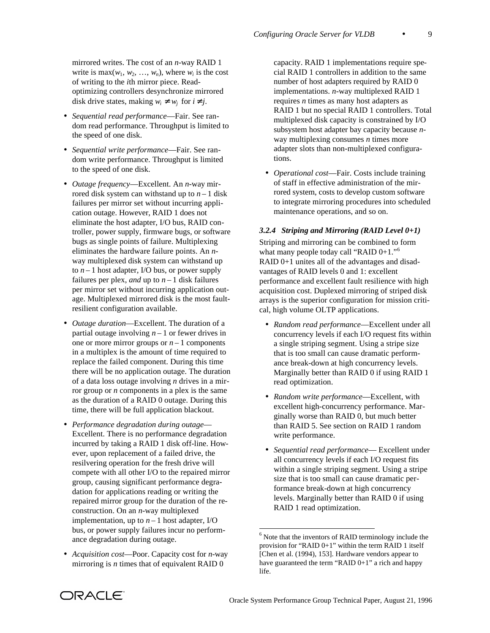mirrored writes. The cost of an *n*-way RAID 1 write is  $max(w_1, w_2, ..., w_n)$ , where  $w_i$  is the cost of writing to the *i*th mirror piece. Readoptimizing controllers desynchronize mirrored disk drive states, making  $w_i \neq w_j$  for  $i \neq j$ .

- *Sequential read performance*—Fair. See random read performance. Throughput is limited to the speed of one disk.
- *Sequential write performance*—Fair. See random write performance. Throughput is limited to the speed of one disk.
- *Outage frequency*—Excellent. An *n*-way mirrored disk system can withstand up to  $n-1$  disk failures per mirror set without incurring application outage. However, RAID 1 does not eliminate the host adapter, I/O bus, RAID controller, power supply, firmware bugs, or software bugs as single points of failure. Multiplexing eliminates the hardware failure points. An *n*way multiplexed disk system can withstand up to  $n-1$  host adapter, I/O bus, or power supply failures per plex, *and* up to  $n-1$  disk failures per mirror set without incurring application outage. Multiplexed mirrored disk is the most faultresilient configuration available.
- *Outage duration*—Excellent. The duration of a partial outage involving  $n-1$  or fewer drives in one or more mirror groups or  $n - 1$  components in a multiplex is the amount of time required to replace the failed component. During this time there will be no application outage. The duration of a data loss outage involving *n* drives in a mirror group or *n* components in a plex is the same as the duration of a RAID 0 outage. During this time, there will be full application blackout.
- *Performance degradation during outage* Excellent. There is no performance degradation incurred by taking a RAID 1 disk off-line. However, upon replacement of a failed drive, the resilvering operation for the fresh drive will compete with all other I/O to the repaired mirror group, causing significant performance degradation for applications reading or writing the repaired mirror group for the duration of the reconstruction. On an *n*-way multiplexed implementation, up to  $n-1$  host adapter, I/O bus, or power supply failures incur no performance degradation during outage.
- *Acquisition cost*—Poor. Capacity cost for *n*-way mirroring is *n* times that of equivalent RAID 0

capacity. RAID 1 implementations require special RAID 1 controllers in addition to the same number of host adapters required by RAID 0 implementations. *n*-way multiplexed RAID 1 requires *n* times as many host adapters as RAID 1 but no special RAID 1 controllers. Total multiplexed disk capacity is constrained by I/O subsystem host adapter bay capacity because *n*way multiplexing consumes *n* times more adapter slots than non-multiplexed configurations.

 • *Operational cost*—Fair. Costs include training of staff in effective administration of the mirrored system, costs to develop custom software to integrate mirroring procedures into scheduled maintenance operations, and so on.

#### *3.2.4 Striping and Mirroring (RAID Level 0+1)*

Striping and mirroring can be combined to form what many people today call "RAID  $0+1$ ."<sup>6</sup> RAID 0+1 unites all of the advantages and disadvantages of RAID levels 0 and 1: excellent performance and excellent fault resilience with high acquisition cost. Duplexed mirroring of striped disk arrays is the superior configuration for mission critical, high volume OLTP applications.

- *Random read performance*—Excellent under all concurrency levels if each I/O request fits within a single striping segment. Using a stripe size that is too small can cause dramatic performance break-down at high concurrency levels. Marginally better than RAID 0 if using RAID 1 read optimization.
- *Random write performance*—Excellent, with excellent high-concurrency performance. Marginally worse than RAID 0, but much better than RAID 5. See section on RAID 1 random write performance.
- *Sequential read performance* Excellent under all concurrency levels if each I/O request fits within a single striping segment. Using a stripe size that is too small can cause dramatic performance break-down at high concurrency levels. Marginally better than RAID 0 if using RAID 1 read optimization.



-

 $6$  Note that the inventors of RAID terminology include the provision for "RAID 0+1" within the term RAID 1 itself [Chen et al. (1994), 153]. Hardware vendors appear to have guaranteed the term "RAID 0+1" a rich and happy life.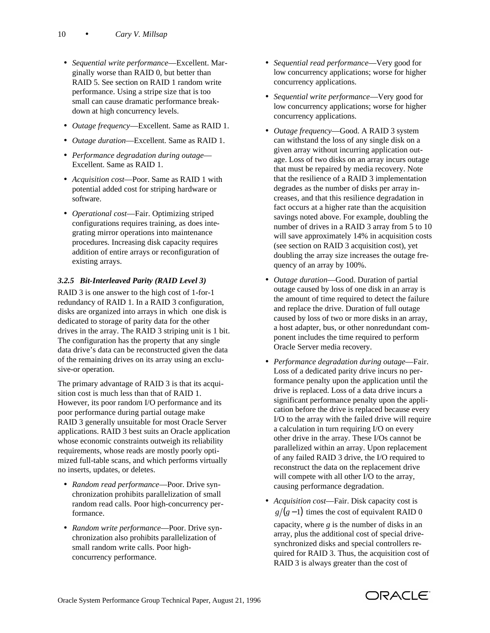- *Sequential write performance*—Excellent. Marginally worse than RAID 0, but better than RAID 5. See section on RAID 1 random write performance. Using a stripe size that is too small can cause dramatic performance breakdown at high concurrency levels.
- *Outage frequency*—Excellent. Same as RAID 1.
- *Outage duration*—Excellent. Same as RAID 1.
- *Performance degradation during outage* Excellent. Same as RAID 1.
- *Acquisition cost*—Poor. Same as RAID 1 with potential added cost for striping hardware or software.
- *Operational cost*—Fair. Optimizing striped configurations requires training, as does integrating mirror operations into maintenance procedures. Increasing disk capacity requires addition of entire arrays or reconfiguration of existing arrays.

# *3.2.5 Bit-Interleaved Parity (RAID Level 3)*

RAID 3 is one answer to the high cost of 1-for-1 redundancy of RAID 1. In a RAID 3 configuration, disks are organized into arrays in which one disk is dedicated to storage of parity data for the other drives in the array. The RAID 3 striping unit is 1 bit. The configuration has the property that any single data drive's data can be reconstructed given the data of the remaining drives on its array using an exclusive-or operation.

The primary advantage of RAID 3 is that its acquisition cost is much less than that of RAID 1. However, its poor random I/O performance and its poor performance during partial outage make RAID 3 generally unsuitable for most Oracle Server applications. RAID 3 best suits an Oracle application whose economic constraints outweigh its reliability requirements, whose reads are mostly poorly optimized full-table scans, and which performs virtually no inserts, updates, or deletes.

- *Random read performance*—Poor. Drive synchronization prohibits parallelization of small random read calls. Poor high-concurrency performance.
- *Random write performance*—Poor. Drive synchronization also prohibits parallelization of small random write calls. Poor highconcurrency performance.
- *Sequential read performance*—Very good for low concurrency applications; worse for higher concurrency applications.
- *Sequential write performance*—Very good for low concurrency applications; worse for higher concurrency applications.
- *Outage frequency*—Good. A RAID 3 system can withstand the loss of any single disk on a given array without incurring application outage. Loss of two disks on an array incurs outage that must be repaired by media recovery. Note that the resilience of a RAID 3 implementation degrades as the number of disks per array increases, and that this resilience degradation in fact occurs at a higher rate than the acquisition savings noted above. For example, doubling the number of drives in a RAID 3 array from 5 to 10 will save approximately 14% in acquisition costs (see section on RAID 3 acquisition cost), yet doubling the array size increases the outage frequency of an array by 100%.
- *Outage duration*—Good. Duration of partial outage caused by loss of one disk in an array is the amount of time required to detect the failure and replace the drive. Duration of full outage caused by loss of two or more disks in an array, a host adapter, bus, or other nonredundant component includes the time required to perform Oracle Server media recovery.
- *Performance degradation during outage*—Fair. Loss of a dedicated parity drive incurs no performance penalty upon the application until the drive is replaced. Loss of a data drive incurs a significant performance penalty upon the application before the drive is replaced because every I/O to the array with the failed drive will require a calculation in turn requiring I/O on every other drive in the array. These I/Os cannot be parallelized within an array. Upon replacement of any failed RAID 3 drive, the I/O required to reconstruct the data on the replacement drive will compete with all other I/O to the array, causing performance degradation.
- *Acquisition cost*—Fair. Disk capacity cost is  $g/(g-1)$  times the cost of equivalent RAID 0 capacity, where *g* is the number of disks in an array, plus the additional cost of special drivesynchronized disks and special controllers required for RAID 3. Thus, the acquisition cost of RAID 3 is always greater than the cost of

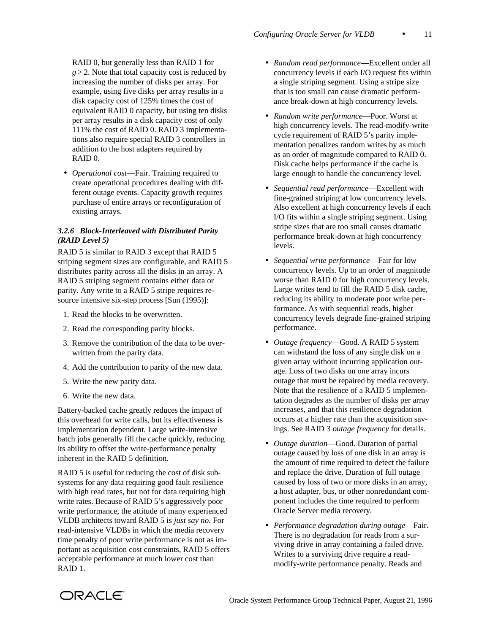RAID 0, but generally less than RAID 1 for  $g > 2$ . Note that total capacity cost is reduced by increasing the number of disks per array. For example, using five disks per array results in a disk capacity cost of 125% times the cost of equivalent RAID 0 capacity, but using ten disks per array results in a disk capacity cost of only 111% the cost of RAID 0. RAID 3 implementations also require special RAID 3 controllers in addition to the host adapters required by RAID 0.

 • *Operational cost*—Fair. Training required to create operational procedures dealing with different outage events. Capacity growth requires purchase of entire arrays or reconfiguration of existing arrays.

# *3.2.6 Block-Interleaved with Distributed Parity (RAID Level 5)*

RAID 5 is similar to RAID 3 except that RAID 5 striping segment sizes are configurable, and RAID 5 distributes parity across all the disks in an array. A RAID 5 striping segment contains either data or parity. Any write to a RAID 5 stripe requires resource intensive six-step process [Sun (1995)]:

- 1. Read the blocks to be overwritten.
- 2. Read the corresponding parity blocks.
- 3. Remove the contribution of the data to be overwritten from the parity data.
- 4. Add the contribution to parity of the new data.
- 5. Write the new parity data.
- 6. Write the new data.

Battery-backed cache greatly reduces the impact of this overhead for write calls, but its effectiveness is implementation dependent. Large write-intensive batch jobs generally fill the cache quickly, reducing its ability to offset the write-performance penalty inherent in the RAID 5 definition.

RAID 5 is useful for reducing the cost of disk subsystems for any data requiring good fault resilience with high read rates, but not for data requiring high write rates. Because of RAID 5's aggressively poor write performance, the attitude of many experienced VLDB architects toward RAID 5 is *just say no*. For read-intensive VLDBs in which the media recovery time penalty of poor write performance is not as important as acquisition cost constraints, RAID 5 offers acceptable performance at much lower cost than RAID 1.

- *Random read performance*—Excellent under all concurrency levels if each I/O request fits within a single striping segment. Using a stripe size that is too small can cause dramatic performance break-down at high concurrency levels.
- *Random write performance*—Poor. Worst at high concurrency levels. The read-modify-write cycle requirement of RAID 5's parity implementation penalizes random writes by as much as an order of magnitude compared to RAID 0. Disk cache helps performance if the cache is large enough to handle the concurrency level.
- *Sequential read performance*—Excellent with fine-grained striping at low concurrency levels. Also excellent at high concurrency levels if each I/O fits within a single striping segment. Using stripe sizes that are too small causes dramatic performance break-down at high concurrency levels.
- *Sequential write performance*—Fair for low concurrency levels. Up to an order of magnitude worse than RAID 0 for high concurrency levels. Large writes tend to fill the RAID 5 disk cache, reducing its ability to moderate poor write performance. As with sequential reads, higher concurrency levels degrade fine-grained striping performance.
- *Outage frequency*—Good. A RAID 5 system can withstand the loss of any single disk on a given array without incurring application outage. Loss of two disks on one array incurs outage that must be repaired by media recovery. Note that the resilience of a RAID 5 implementation degrades as the number of disks per array increases, and that this resilience degradation occurs at a higher rate than the acquisition savings. See RAID 3 *outage frequency* for details.
- *Outage duration*—Good. Duration of partial outage caused by loss of one disk in an array is the amount of time required to detect the failure and replace the drive. Duration of full outage caused by loss of two or more disks in an array, a host adapter, bus, or other nonredundant component includes the time required to perform Oracle Server media recovery.
- *Performance degradation during outage*—Fair. There is no degradation for reads from a surviving drive in array containing a failed drive. Writes to a surviving drive require a readmodify-write performance penalty. Reads and

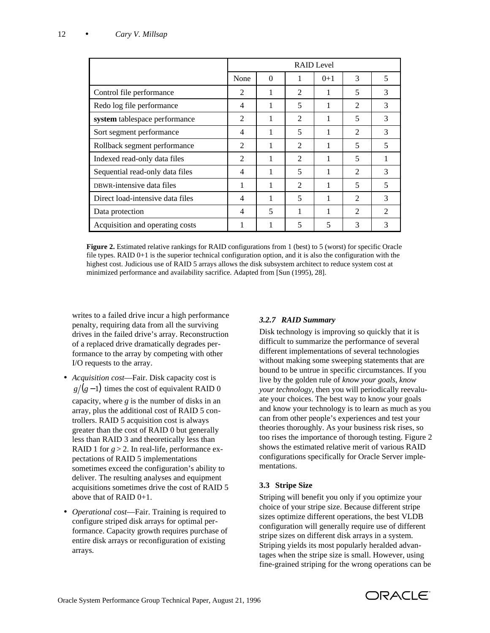|                                  | <b>RAID</b> Level        |          |                          |       |                |                             |
|----------------------------------|--------------------------|----------|--------------------------|-------|----------------|-----------------------------|
|                                  | None                     | $\Omega$ |                          | $0+1$ | 3              | 5                           |
| Control file performance         | $\overline{2}$           |          | $\mathfrak{D}$           |       | 5              | 3                           |
| Redo log file performance        | 4                        |          | 5                        | 1     | $\overline{2}$ | 3                           |
| system tablespace performance    | 2                        |          | 2                        | 1     | 5              | 3                           |
| Sort segment performance         | 4                        |          | 5                        | 1     | $\mathfrak{D}$ | 3                           |
| Rollback segment performance     | $\overline{2}$           | 1        | $\overline{2}$           | 1     | 5              | 5                           |
| Indexed read-only data files     | $\overline{2}$           |          | $\mathfrak{D}$           | 1     | 5              |                             |
| Sequential read-only data files  | $\overline{\mathcal{A}}$ |          | 5                        | 1     | $\mathfrak{D}$ | 3                           |
| DBWR-intensive data files        | 1                        | 1        | 2                        | 1     | 5              | 5                           |
| Direct load-intensive data files | 4                        |          | 5                        | 1     | $\mathfrak{D}$ | 3                           |
| Data protection                  | 4                        | 5        | 1                        | 1     | $\mathfrak{D}$ | $\mathcal{D}_{\mathcal{L}}$ |
| Acquisition and operating costs  | 1                        |          | $\overline{\phantom{0}}$ | 5     | 3              | 3                           |

**Figure 2.** Estimated relative rankings for RAID configurations from 1 (best) to 5 (worst) for specific Oracle file types. RAID 0+1 is the superior technical configuration option, and it is also the configuration with the highest cost. Judicious use of RAID 5 arrays allows the disk subsystem architect to reduce system cost at minimized performance and availability sacrifice. Adapted from [Sun (1995), 28].

writes to a failed drive incur a high performance penalty, requiring data from all the surviving drives in the failed drive's array. Reconstruction of a replaced drive dramatically degrades performance to the array by competing with other I/O requests to the array.

- *Acquisition cost*—Fair. Disk capacity cost is  $g/(g-1)$  times the cost of equivalent RAID 0 capacity, where *g* is the number of disks in an array, plus the additional cost of RAID 5 controllers. RAID 5 acquisition cost is always greater than the cost of RAID 0 but generally less than RAID 3 and theoretically less than RAID 1 for  $g > 2$ . In real-life, performance expectations of RAID 5 implementations sometimes exceed the configuration's ability to deliver. The resulting analyses and equipment acquisitions sometimes drive the cost of RAID 5 above that of RAID 0+1.
- *Operational cost*—Fair. Training is required to configure striped disk arrays for optimal performance. Capacity growth requires purchase of entire disk arrays or reconfiguration of existing arrays.

# *3.2.7 RAID Summary*

Disk technology is improving so quickly that it is difficult to summarize the performance of several different implementations of several technologies without making some sweeping statements that are bound to be untrue in specific circumstances. If you live by the golden rule of *know your goals, know your technology*, then you will periodically reevaluate your choices. The best way to know your goals and know your technology is to learn as much as you can from other people's experiences and test your theories thoroughly. As your business risk rises, so too rises the importance of thorough testing. Figure 2 shows the estimated relative merit of various RAID configurations specifically for Oracle Server implementations.

### **3.3 Stripe Size**

Striping will benefit you only if you optimize your choice of your stripe size. Because different stripe sizes optimize different operations, the best VLDB configuration will generally require use of different stripe sizes on different disk arrays in a system. Striping yields its most popularly heralded advantages when the stripe size is small. However, using fine-grained striping for the wrong operations can be

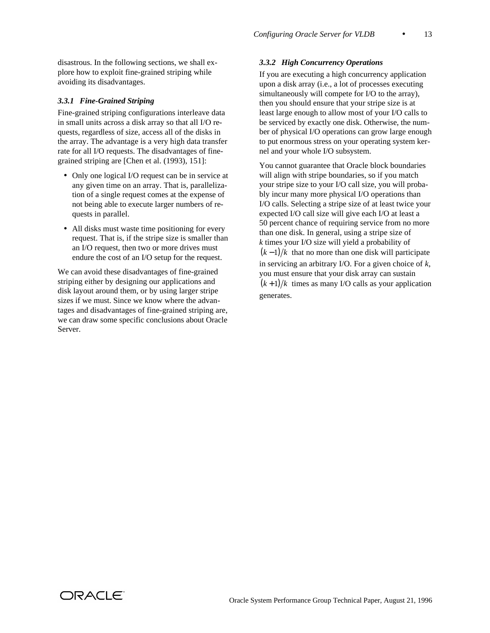disastrous. In the following sections, we shall explore how to exploit fine-grained striping while avoiding its disadvantages.

#### *3.3.1 Fine-Grained Striping*

Fine-grained striping configurations interleave data in small units across a disk array so that all I/O requests, regardless of size, access all of the disks in the array. The advantage is a very high data transfer rate for all I/O requests. The disadvantages of finegrained striping are [Chen et al. (1993), 151]:

- Only one logical I/O request can be in service at any given time on an array. That is, parallelization of a single request comes at the expense of not being able to execute larger numbers of requests in parallel.
- All disks must waste time positioning for every request. That is, if the stripe size is smaller than an I/O request, then two or more drives must endure the cost of an I/O setup for the request.

We can avoid these disadvantages of fine-grained striping either by designing our applications and disk layout around them, or by using larger stripe sizes if we must. Since we know where the advantages and disadvantages of fine-grained striping are, we can draw some specific conclusions about Oracle Server.

### *3.3.2 High Concurrency Operations*

If you are executing a high concurrency application upon a disk array (i.e., a lot of processes executing simultaneously will compete for I/O to the array), then you should ensure that your stripe size is at least large enough to allow most of your I/O calls to be serviced by exactly one disk. Otherwise, the number of physical I/O operations can grow large enough to put enormous stress on your operating system kernel and your whole I/O subsystem.

You cannot guarantee that Oracle block boundaries will align with stripe boundaries, so if you match your stripe size to your I/O call size, you will probably incur many more physical I/O operations than I/O calls. Selecting a stripe size of at least twice your expected I/O call size will give each I/O at least a 50 percent chance of requiring service from no more than one disk. In general, using a stripe size of *k* times your I/O size will yield a probability of  $(k-1)/k$  that no more than one disk will participate in servicing an arbitrary I/O. For a given choice of *k*, you must ensure that your disk array can sustain  $(k+1)/k$  times as many I/O calls as your application generates.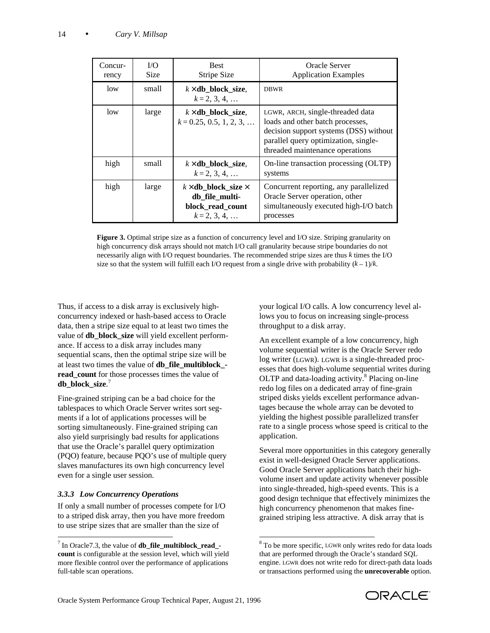| Concur-<br>rency | I/O<br><b>Size</b> | <b>Best</b><br>Stripe Size                                                                 | Oracle Server<br><b>Application Examples</b>                                                                                                                                              |
|------------------|--------------------|--------------------------------------------------------------------------------------------|-------------------------------------------------------------------------------------------------------------------------------------------------------------------------------------------|
| low              | small              | $k \times db$ block size,<br>$k = 2, 3, 4, $                                               | <b>DBWR</b>                                                                                                                                                                               |
| low              | large              | $k \times db$ block size,<br>$k = 0.25, 0.5, 1, 2, 3, $                                    | LGWR, ARCH, single-threaded data<br>loads and other batch processes,<br>decision support systems (DSS) without<br>parallel query optimization, single-<br>threaded maintenance operations |
| high             | small              | $k \times$ db_block_size,<br>$k = 2, 3, 4, $                                               | On-line transaction processing (OLTP)<br>systems                                                                                                                                          |
| high             | large              | $k \times$ db_block_size $\times$<br>db file multi-<br>block read count<br>$k = 2, 3, 4, $ | Concurrent reporting, any parallelized<br>Oracle Server operation, other<br>simultaneously executed high-I/O batch<br>processes                                                           |

**Figure 3.** Optimal stripe size as a function of concurrency level and I/O size. Striping granularity on high concurrency disk arrays should not match I/O call granularity because stripe boundaries do not necessarily align with I/O request boundaries. The recommended stripe sizes are thus *k* times the I/O size so that the system will fulfill each I/O request from a single drive with probability  $(k-1)/k$ .

Thus, if access to a disk array is exclusively highconcurrency indexed or hash-based access to Oracle data, then a stripe size equal to at least two times the value of **db block** size will yield excellent performance. If access to a disk array includes many sequential scans, then the optimal stripe size will be at least two times the value of **db\_file\_multiblock\_** read count for those processes times the value of **db\_block\_size**. 7

Fine-grained striping can be a bad choice for the tablespaces to which Oracle Server writes sort segments if a lot of applications processes will be sorting simultaneously. Fine-grained striping can also yield surprisingly bad results for applications that use the Oracle's parallel query optimization (PQO) feature, because PQO's use of multiple query slaves manufactures its own high concurrency level even for a single user session.

# *3.3.3 Low Concurrency Operations*

If only a small number of processes compete for I/O to a striped disk array, then you have more freedom to use stripe sizes that are smaller than the size of

your logical I/O calls. A low concurrency level allows you to focus on increasing single-process throughput to a disk array.

An excellent example of a low concurrency, high volume sequential writer is the Oracle Server redo log writer (LGWR). LGWR is a single-threaded processes that does high-volume sequential writes during OLTP and data-loading activity.<sup>8</sup> Placing on-line redo log files on a dedicated array of fine-grain striped disks yields excellent performance advantages because the whole array can be devoted to yielding the highest possible parallelized transfer rate to a single process whose speed is critical to the application.

Several more opportunities in this category generally exist in well-designed Oracle Server applications. Good Oracle Server applications batch their highvolume insert and update activity whenever possible into single-threaded, high-speed events. This is a good design technique that effectively minimizes the high concurrency phenomenon that makes finegrained striping less attractive. A disk array that is



 7 In Oracle7.3, the value of **db\_file\_multiblock\_read\_ count** is configurable at the session level, which will yield more flexible control over the performance of applications full-table scan operations.

l <sup>8</sup> To be more specific, LGWR only writes redo for data loads that are performed through the Oracle's standard SQL engine. LGWR does not write redo for direct-path data loads or transactions performed using the **unrecoverable** option.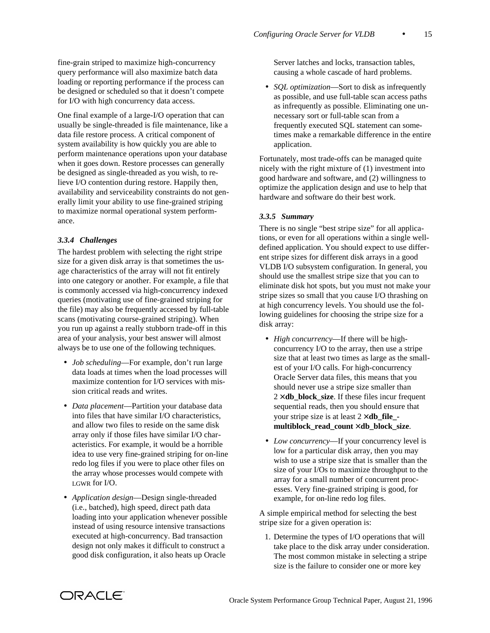fine-grain striped to maximize high-concurrency query performance will also maximize batch data loading or reporting performance if the process can be designed or scheduled so that it doesn't compete for I/O with high concurrency data access.

One final example of a large-I/O operation that can usually be single-threaded is file maintenance, like a data file restore process. A critical component of system availability is how quickly you are able to perform maintenance operations upon your database when it goes down. Restore processes can generally be designed as single-threaded as you wish, to relieve I/O contention during restore. Happily then, availability and serviceability constraints do not generally limit your ability to use fine-grained striping to maximize normal operational system performance.

#### *3.3.4 Challenges*

The hardest problem with selecting the right stripe size for a given disk array is that sometimes the usage characteristics of the array will not fit entirely into one category or another. For example, a file that is commonly accessed via high-concurrency indexed queries (motivating use of fine-grained striping for the file) may also be frequently accessed by full-table scans (motivating course-grained striping). When you run up against a really stubborn trade-off in this area of your analysis, your best answer will almost always be to use one of the following techniques.

- *Job scheduling*—For example, don't run large data loads at times when the load processes will maximize contention for I/O services with mission critical reads and writes.
- *Data placement*—Partition your database data into files that have similar I/O characteristics, and allow two files to reside on the same disk array only if those files have similar I/O characteristics. For example, it would be a horrible idea to use very fine-grained striping for on-line redo log files if you were to place other files on the array whose processes would compete with LGWR for I/O.
- *Application design*—Design single-threaded (i.e., batched), high speed, direct path data loading into your application whenever possible instead of using resource intensive transactions executed at high-concurrency. Bad transaction design not only makes it difficult to construct a good disk configuration, it also heats up Oracle

Server latches and locks, transaction tables, causing a whole cascade of hard problems.

• *SOL optimization*—Sort to disk as infrequently as possible, and use full-table scan access paths as infrequently as possible. Eliminating one unnecessary sort or full-table scan from a frequently executed SQL statement can sometimes make a remarkable difference in the entire application.

Fortunately, most trade-offs can be managed quite nicely with the right mixture of (1) investment into good hardware and software, and (2) willingness to optimize the application design and use to help that hardware and software do their best work.

### *3.3.5 Summary*

There is no single "best stripe size" for all applications, or even for all operations within a single welldefined application. You should expect to use different stripe sizes for different disk arrays in a good VLDB I/O subsystem configuration. In general, you should use the smallest stripe size that you can to eliminate disk hot spots, but you must not make your stripe sizes so small that you cause I/O thrashing on at high concurrency levels. You should use the following guidelines for choosing the stripe size for a disk array:

- *High concurrency*—If there will be highconcurrency I/O to the array, then use a stripe size that at least two times as large as the smallest of your I/O calls. For high-concurrency Oracle Server data files, this means that you should never use a stripe size smaller than  $2 \times$ **db** block size. If these files incur frequent sequential reads, then you should ensure that your stripe size is at least 2 × **db\_file\_ multiblock\_read\_count** × **db\_block\_size**.
- *Low concurrency*—If your concurrency level is low for a particular disk array, then you may wish to use a stripe size that is smaller than the size of your I/Os to maximize throughput to the array for a small number of concurrent processes. Very fine-grained striping is good, for example, for on-line redo log files.

A simple empirical method for selecting the best stripe size for a given operation is:

 1. Determine the types of I/O operations that will take place to the disk array under consideration. The most common mistake in selecting a stripe size is the failure to consider one or more key

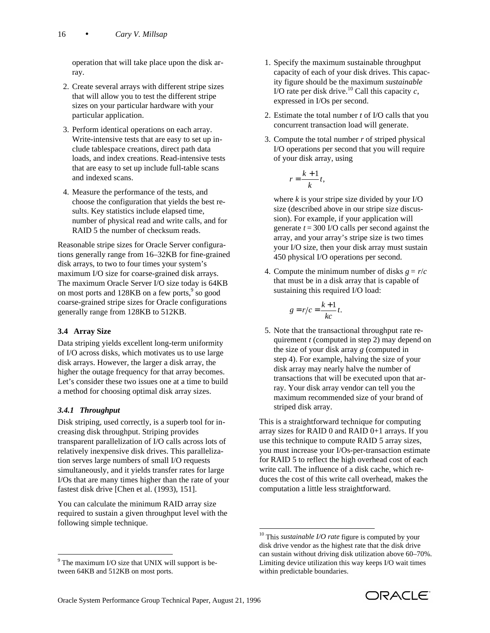operation that will take place upon the disk array.

- 2. Create several arrays with different stripe sizes that will allow you to test the different stripe sizes on your particular hardware with your particular application.
- 3. Perform identical operations on each array. Write-intensive tests that are easy to set up include tablespace creations, direct path data loads, and index creations. Read-intensive tests that are easy to set up include full-table scans and indexed scans.
- 4. Measure the performance of the tests, and choose the configuration that yields the best results. Key statistics include elapsed time, number of physical read and write calls, and for RAID 5 the number of checksum reads.

Reasonable stripe sizes for Oracle Server configurations generally range from 16–32KB for fine-grained disk arrays, to two to four times your system's maximum I/O size for coarse-grained disk arrays. The maximum Oracle Server I/O size today is 64KB on most ports and 128KB on a few ports,<sup>9</sup> so good coarse-grained stripe sizes for Oracle configurations generally range from 128KB to 512KB.

### **3.4 Array Size**

Data striping yields excellent long-term uniformity of I/O across disks, which motivates us to use large disk arrays. However, the larger a disk array, the higher the outage frequency for that array becomes. Let's consider these two issues one at a time to build a method for choosing optimal disk array sizes.

# *3.4.1 Throughput*

l

Disk striping, used correctly, is a superb tool for increasing disk throughput. Striping provides transparent parallelization of I/O calls across lots of relatively inexpensive disk drives. This parallelization serves large numbers of small I/O requests simultaneously, and it yields transfer rates for large I/Os that are many times higher than the rate of your fastest disk drive [Chen et al. (1993), 151].

You can calculate the minimum RAID array size required to sustain a given throughput level with the following simple technique.

- 1. Specify the maximum sustainable throughput capacity of each of your disk drives. This capacity figure should be the maximum *sustainable* I/O rate per disk drive.<sup>10</sup> Call this capacity  $c$ , expressed in I/Os per second.
- 2. Estimate the total number *t* of I/O calls that you concurrent transaction load will generate.
- 3. Compute the total number *r* of striped physical I/O operations per second that you will require of your disk array, using

$$
r = \frac{k+1}{k}t,
$$

where  $k$  is your stripe size divided by your I/O size (described above in our stripe size discussion). For example, if your application will generate  $t = 300$  I/O calls per second against the array, and your array's stripe size is two times your I/O size, then your disk array must sustain 450 physical I/O operations per second.

4. Compute the minimum number of disks  $g = r/c$ that must be in a disk array that is capable of sustaining this required I/O load:

$$
g = r/c = \frac{k+1}{kc}t.
$$

 5. Note that the transactional throughput rate requirement *t* (computed in step 2) may depend on the size of your disk array *g* (computed in step 4). For example, halving the size of your disk array may nearly halve the number of transactions that will be executed upon that array. Your disk array vendor can tell you the maximum recommended size of your brand of striped disk array.

This is a straightforward technique for computing array sizes for RAID 0 and RAID 0+1 arrays. If you use this technique to compute RAID 5 array sizes, you must increase your I/Os-per-transaction estimate for RAID 5 to reflect the high overhead cost of each write call. The influence of a disk cache, which reduces the cost of this write call overhead, makes the computation a little less straightforward.

l



<sup>&</sup>lt;sup>9</sup> The maximum I/O size that UNIX will support is between 64KB and 512KB on most ports.

<sup>10</sup> This *sustainable I/O rate* figure is computed by your disk drive vendor as the highest rate that the disk drive can sustain without driving disk utilization above 60–70%. Limiting device utilization this way keeps I/O wait times within predictable boundaries.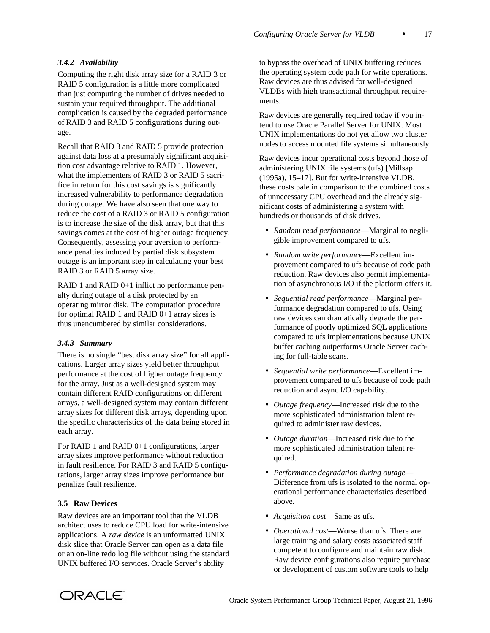### *3.4.2 Availability*

Computing the right disk array size for a RAID 3 or RAID 5 configuration is a little more complicated than just computing the number of drives needed to sustain your required throughput. The additional complication is caused by the degraded performance of RAID 3 and RAID 5 configurations during outage.

Recall that RAID 3 and RAID 5 provide protection against data loss at a presumably significant acquisition cost advantage relative to RAID 1. However, what the implementers of RAID 3 or RAID 5 sacrifice in return for this cost savings is significantly increased vulnerability to performance degradation during outage. We have also seen that one way to reduce the cost of a RAID 3 or RAID 5 configuration is to increase the size of the disk array, but that this savings comes at the cost of higher outage frequency. Consequently, assessing your aversion to performance penalties induced by partial disk subsystem outage is an important step in calculating your best RAID 3 or RAID 5 array size.

RAID 1 and RAID 0+1 inflict no performance penalty during outage of a disk protected by an operating mirror disk. The computation procedure for optimal RAID 1 and RAID 0+1 array sizes is thus unencumbered by similar considerations.

#### *3.4.3 Summary*

There is no single "best disk array size" for all applications. Larger array sizes yield better throughput performance at the cost of higher outage frequency for the array. Just as a well-designed system may contain different RAID configurations on different arrays, a well-designed system may contain different array sizes for different disk arrays, depending upon the specific characteristics of the data being stored in each array.

For RAID 1 and RAID 0+1 configurations, larger array sizes improve performance without reduction in fault resilience. For RAID 3 and RAID 5 configurations, larger array sizes improve performance but penalize fault resilience.

#### **3.5 Raw Devices**

Raw devices are an important tool that the VLDB architect uses to reduce CPU load for write-intensive applications. A *raw device* is an unformatted UNIX disk slice that Oracle Server can open as a data file or an on-line redo log file without using the standard UNIX buffered I/O services. Oracle Server's ability

to bypass the overhead of UNIX buffering reduces the operating system code path for write operations. Raw devices are thus advised for well-designed VLDBs with high transactional throughput requirements.

Raw devices are generally required today if you intend to use Oracle Parallel Server for UNIX. Most UNIX implementations do not yet allow two cluster nodes to access mounted file systems simultaneously.

Raw devices incur operational costs beyond those of administering UNIX file systems (ufs) [Millsap (1995a), 15–17]. But for write-intensive VLDB, these costs pale in comparison to the combined costs of unnecessary CPU overhead and the already significant costs of administering a system with hundreds or thousands of disk drives.

- *Random read performance*—Marginal to negligible improvement compared to ufs.
- *Random write performance*—Excellent improvement compared to ufs because of code path reduction. Raw devices also permit implementation of asynchronous I/O if the platform offers it.
- *Sequential read performance*—Marginal performance degradation compared to ufs. Using raw devices can dramatically degrade the performance of poorly optimized SQL applications compared to ufs implementations because UNIX buffer caching outperforms Oracle Server caching for full-table scans.
- *Sequential write performance*—Excellent improvement compared to ufs because of code path reduction and async I/O capability.
- *Outage frequency*—Increased risk due to the more sophisticated administration talent required to administer raw devices.
- *Outage duration*—Increased risk due to the more sophisticated administration talent required.
- *Performance degradation during outage* Difference from ufs is isolated to the normal operational performance characteristics described above.
- *Acquisition cost*—Same as ufs.
- *Operational cost*—Worse than ufs. There are large training and salary costs associated staff competent to configure and maintain raw disk. Raw device configurations also require purchase or development of custom software tools to help

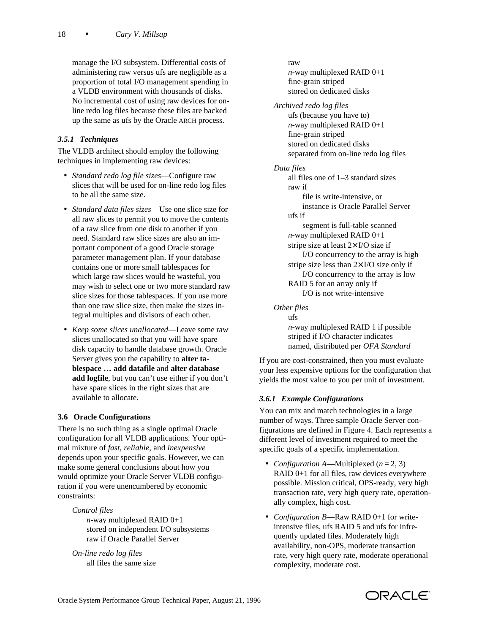manage the I/O subsystem. Differential costs of administering raw versus ufs are negligible as a proportion of total I/O management spending in a VLDB environment with thousands of disks. No incremental cost of using raw devices for online redo log files because these files are backed up the same as ufs by the Oracle ARCH process.

# *3.5.1 Techniques*

The VLDB architect should employ the following techniques in implementing raw devices:

- *Standard redo log file sizes*—Configure raw slices that will be used for on-line redo log files to be all the same size.
- *Standard data files sizes*—Use one slice size for all raw slices to permit you to move the contents of a raw slice from one disk to another if you need. Standard raw slice sizes are also an important component of a good Oracle storage parameter management plan. If your database contains one or more small tablespaces for which large raw slices would be wasteful, you may wish to select one or two more standard raw slice sizes for those tablespaces. If you use more than one raw slice size, then make the sizes integral multiples and divisors of each other.
- *Keep some slices unallocated*—Leave some raw slices unallocated so that you will have spare disk capacity to handle database growth. Oracle Server gives you the capability to **alter tablespace … add datafile** and **alter database add logfile**, but you can't use either if you don't have spare slices in the right sizes that are available to allocate.

### **3.6 Oracle Configurations**

There is no such thing as a single optimal Oracle configuration for all VLDB applications. Your optimal mixture of *fast*, *reliable*, and *inexpensive* depends upon your specific goals. However, we can make some general conclusions about how you would optimize your Oracle Server VLDB configuration if you were unencumbered by economic constraints:

#### *Control files*

*n*-way multiplexed RAID 0+1 stored on independent I/O subsystems raw if Oracle Parallel Server

*On-line redo log files* all files the same size

#### raw

*n*-way multiplexed RAID 0+1 fine-grain striped stored on dedicated disks

*Archived redo log files* ufs (because you have to) *n*-way multiplexed RAID 0+1 fine-grain striped stored on dedicated disks separated from on-line redo log files

### *Data files*

all files one of 1–3 standard sizes raw if file is write-intensive, or instance is Oracle Parallel Server ufs if segment is full-table scanned *n*-way multiplexed RAID 0+1 stripe size at least 2× I/O size if I/O concurrency to the array is high stripe size less than  $2 \times I/O$  size only if I/O concurrency to the array is low RAID 5 for an array only if I/O is not write-intensive

*Other files*

ufs *n*-way multiplexed RAID 1 if possible striped if I/O character indicates named, distributed per *OFA Standard*

If you are cost-constrained, then you must evaluate your less expensive options for the configuration that yields the most value to you per unit of investment.

### *3.6.1 Example Configurations*

You can mix and match technologies in a large number of ways. Three sample Oracle Server configurations are defined in Figure 4. Each represents a different level of investment required to meet the specific goals of a specific implementation.

- *Configuration A*—Multiplexed  $(n = 2, 3)$ RAID 0+1 for all files, raw devices everywhere possible. Mission critical, OPS-ready, very high transaction rate, very high query rate, operationally complex, high cost.
- *Configuration B*—Raw RAID 0+1 for writeintensive files, ufs RAID 5 and ufs for infrequently updated files. Moderately high availability, non-OPS, moderate transaction rate, very high query rate, moderate operational complexity, moderate cost.

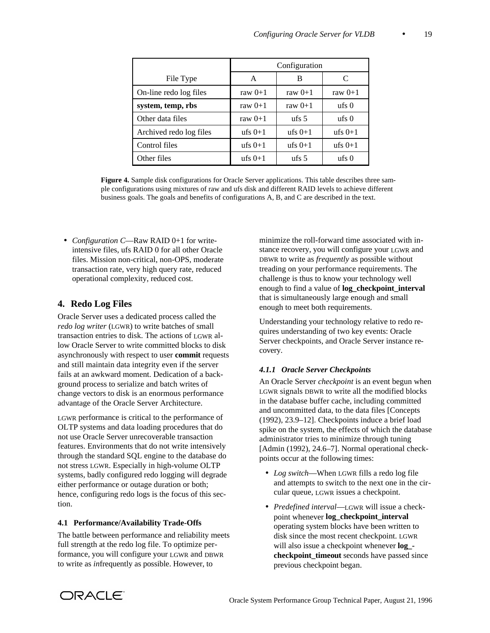|                         | Configuration |                        |                              |
|-------------------------|---------------|------------------------|------------------------------|
| File Type               | A             | В                      | C                            |
| On-line redo log files  | raw $0+1$     | raw $0+1$              | raw $0+1$                    |
| system, temp, rbs       | raw $0+1$     | raw $0+1$              | $\mathrm{ufs}\,0$            |
| Other data files        | raw $0+1$     | $\frac{\text{ufs}}{5}$ | $\mathbf{u}$ fs $\mathbf{0}$ |
| Archived redo log files | ufs $0+1$     | ufs $0+1$              | ufs $0+1$                    |
| Control files           | ufs $0+1$     | ufs $0+1$              | ufs $0+1$                    |
| Other files             | ufs $0+1$     | $\,\mathrm{ufs}\,5$    | $\mathbf{u}$ fs $\mathbf{0}$ |

**Figure 4.** Sample disk configurations for Oracle Server applications. This table describes three sample configurations using mixtures of raw and ufs disk and different RAID levels to achieve different business goals. The goals and benefits of configurations A, B, and C are described in the text.

 • *Configuration C*—Raw RAID 0+1 for writeintensive files, ufs RAID 0 for all other Oracle files. Mission non-critical, non-OPS, moderate transaction rate, very high query rate, reduced operational complexity, reduced cost.

# **4. Redo Log Files**

Oracle Server uses a dedicated process called the *redo log writer* (LGWR) to write batches of small transaction entries to disk. The actions of LGWR allow Oracle Server to write committed blocks to disk asynchronously with respect to user **commit** requests and still maintain data integrity even if the server fails at an awkward moment. Dedication of a background process to serialize and batch writes of change vectors to disk is an enormous performance advantage of the Oracle Server Architecture.

LGWR performance is critical to the performance of OLTP systems and data loading procedures that do not use Oracle Server unrecoverable transaction features. Environments that do not write intensively through the standard SQL engine to the database do not stress LGWR. Especially in high-volume OLTP systems, badly configured redo logging will degrade either performance or outage duration or both; hence, configuring redo logs is the focus of this section.

### **4.1 Performance/Availability Trade-Offs**

The battle between performance and reliability meets full strength at the redo log file. To optimize performance, you will configure your LGWR and DBWR to write as *in*frequently as possible. However, to

minimize the roll-forward time associated with instance recovery, you will configure your LGWR and DBWR to write as *frequently* as possible without treading on your performance requirements. The challenge is thus to know your technology well enough to find a value of **log\_checkpoint\_interval** that is simultaneously large enough and small enough to meet both requirements.

Understanding your technology relative to redo requires understanding of two key events: Oracle Server checkpoints, and Oracle Server instance recovery.

### *4.1.1 Oracle Server Checkpoints*

An Oracle Server *checkpoint* is an event begun when LGWR signals DBWR to write all the modified blocks in the database buffer cache, including committed and uncommitted data, to the data files [Concepts (1992), 23.9–12]. Checkpoints induce a brief load spike on the system, the effects of which the database administrator tries to minimize through tuning [Admin (1992), 24.6–7]. Normal operational checkpoints occur at the following times:

- *Log switch*—When LGWR fills a redo log file and attempts to switch to the next one in the circular queue, LGWR issues a checkpoint.
- *Predefined interval*—LGWR will issue a checkpoint whenever **log\_checkpoint\_interval** operating system blocks have been written to disk since the most recent checkpoint. LGWR will also issue a checkpoint whenever **log\_ checkpoint\_timeout** seconds have passed since previous checkpoint began.

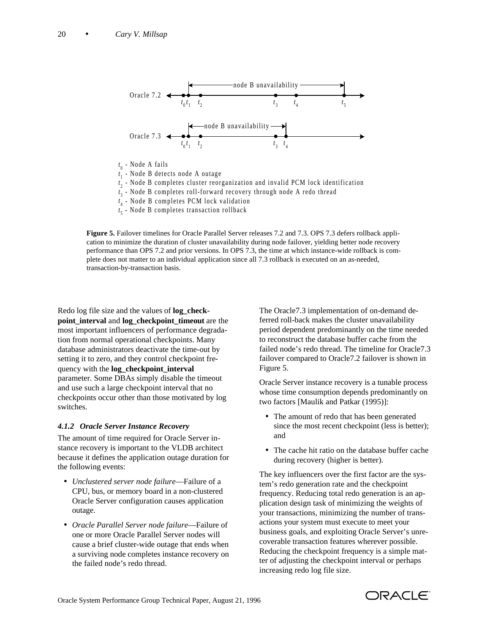

- *t* <sup>1</sup> Node B detects node A outage
- *t* <sup>2</sup> Node B completes cluster reorganization and invalid PCM lock identification
- *t* <sup>3</sup> Node B completes roll-forward recovery through node A redo thread
- *t* <sup>4</sup> Node B completes PCM lock validation
- *t* <sup>5</sup> Node B completes transaction rollback

**Figure 5.** Failover timelines for Oracle Parallel Server releases 7.2 and 7.3. OPS 7.3 defers rollback application to minimize the duration of cluster unavailability during node failover, yielding better node recovery performance than OPS 7.2 and prior versions. In OPS 7.3, the time at which instance-wide rollback is complete does not matter to an individual application since all 7.3 rollback is executed on an as-needed, transaction-by-transaction basis.

Redo log file size and the values of **log\_checkpoint** interval and **log** checkpoint timeout are the most important influencers of performance degradation from normal operational checkpoints. Many database administrators deactivate the time-out by setting it to zero, and they control checkpoint frequency with the **log\_checkpoint\_interval** parameter. Some DBAs simply disable the timeout and use such a large checkpoint interval that no checkpoints occur other than those motivated by log switches.

#### *4.1.2 Oracle Server Instance Recovery*

The amount of time required for Oracle Server instance recovery is important to the VLDB architect because it defines the application outage duration for the following events:

- *Unclustered server node failure*—Failure of a CPU, bus, or memory board in a non-clustered Oracle Server configuration causes application outage.
- *Oracle Parallel Server node failure*—Failure of one or more Oracle Parallel Server nodes will cause a brief cluster-wide outage that ends when a surviving node completes instance recovery on the failed node's redo thread.

The Oracle7.3 implementation of on-demand deferred roll-back makes the cluster unavailability period dependent predominantly on the time needed to reconstruct the database buffer cache from the failed node's redo thread. The timeline for Oracle7.3 failover compared to Oracle7.2 failover is shown in Figure 5.

Oracle Server instance recovery is a tunable process whose time consumption depends predominantly on two factors [Maulik and Patkar (1995)]:

- The amount of redo that has been generated since the most recent checkpoint (less is better); and
- The cache hit ratio on the database buffer cache during recovery (higher is better).

The key influencers over the first factor are the system's redo generation rate and the checkpoint frequency. Reducing total redo generation is an application design task of minimizing the weights of your transactions, minimizing the number of transactions your system must execute to meet your business goals, and exploiting Oracle Server's unrecoverable transaction features wherever possible. Reducing the checkpoint frequency is a simple matter of adjusting the checkpoint interval or perhaps increasing redo log file size.

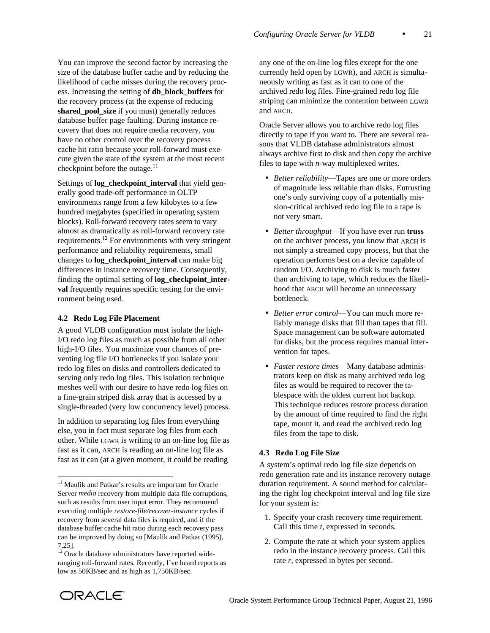You can improve the second factor by increasing the size of the database buffer cache and by reducing the likelihood of cache misses during the recovery process. Increasing the setting of **db\_block\_buffers** for the recovery process (at the expense of reducing **shared\_pool\_size** if you must) generally reduces database buffer page faulting. During instance recovery that does not require media recovery, you have no other control over the recovery process cache hit ratio because your roll-forward must execute given the state of the system at the most recent checkpoint before the outage. $^{11}$ 

Settings of **log** checkpoint interval that yield generally good trade-off performance in OLTP environments range from a few kilobytes to a few hundred megabytes (specified in operating system blocks). Roll-forward recovery rates seem to vary almost as dramatically as roll-forward recovery rate requirements.12 For environments with very stringent performance and reliability requirements, small changes to **log\_checkpoint\_interval** can make big differences in instance recovery time. Consequently, finding the optimal setting of **log\_checkpoint\_interval** frequently requires specific testing for the environment being used.

### **4.2 Redo Log File Placement**

A good VLDB configuration must isolate the high-I/O redo log files as much as possible from all other high-I/O files. You maximize your chances of preventing log file I/O bottlenecks if you isolate your redo log files on disks and controllers dedicated to serving only redo log files. This isolation technique meshes well with our desire to have redo log files on a fine-grain striped disk array that is accessed by a single-threaded (very low concurrency level) process.

In addition to separating log files from everything else, you in fact must separate log files from each other. While LGWR is writing to an on-line log file as fast as it can, ARCH is reading an on-line log file as fast as it can (at a given moment, it could be reading

any one of the on-line log files except for the one currently held open by LGWR), and ARCH is simultaneously writing as fast as it can to one of the archived redo log files. Fine-grained redo log file striping can minimize the contention between LGWR and ARCH.

Oracle Server allows you to archive redo log files directly to tape if you want to. There are several reasons that VLDB database administrators almost always archive first to disk and then copy the archive files to tape with *n*-way multiplexed writes.

- *Better reliability*—Tapes are one or more orders of magnitude less reliable than disks. Entrusting one's only surviving copy of a potentially mission-critical archived redo log file to a tape is not very smart.
- *Better throughput*—If you have ever run **truss** on the archiver process, you know that ARCH is not simply a streamed copy process, but that the operation performs best on a device capable of random I/O. Archiving to disk is much faster than archiving to tape, which reduces the likelihood that ARCH will become an unnecessary bottleneck.
- *Better error control*—You can much more reliably manage disks that fill than tapes that fill. Space management can be software automated for disks, but the process requires manual intervention for tapes.
- *Faster restore times*—Many database administrators keep on disk as many archived redo log files as would be required to recover the tablespace with the oldest current hot backup. This technique reduces restore process duration by the amount of time required to find the right tape, mount it, and read the archived redo log files from the tape to disk.

#### **4.3 Redo Log File Size**

A system's optimal redo log file size depends on redo generation rate and its instance recovery outage duration requirement. A sound method for calculating the right log checkpoint interval and log file size for your system is:

- 1. Specify your crash recovery time requirement. Call this time *t*, expressed in seconds.
- 2. Compute the rate at which your system applies redo in the instance recovery process. Call this rate *r*, expressed in bytes per second.



-

<sup>&</sup>lt;sup>11</sup> Maulik and Patkar's results are important for Oracle Server *media* recovery from multiple data file corruptions, such as results from user input error. They recommend executing multiple *restore-file/recover-instance* cycles if recovery from several data files is required, and if the database buffer cache hit ratio during each recovery pass can be improved by doing so [Maulik and Patkar (1995), 7.25].

<sup>&</sup>lt;sup>12</sup> Oracle database administrators have reported wideranging roll-forward rates. Recently, I've heard reports as low as 50KB/sec and as high as 1,750KB/sec.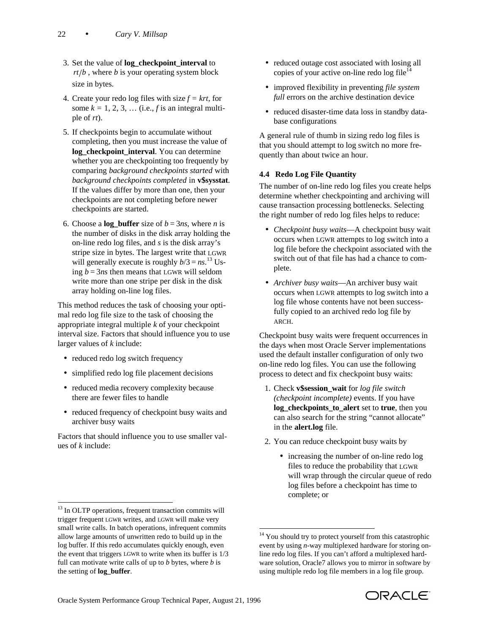- 3. Set the value of **log\_checkpoint\_interval** to  $rt/b$ , where *b* is your operating system block size in bytes.
- 4. Create your redo log files with size  $f = krt$ , for some  $k = 1, 2, 3, \dots$  (i.e., *f* is an integral multiple of *rt*).
- 5. If checkpoints begin to accumulate without completing, then you must increase the value of **log\_checkpoint\_interval**. You can determine whether you are checkpointing too frequently by comparing *background checkpoints started* with *background checkpoints completed* in **v\$sysstat**. If the values differ by more than one, then your checkpoints are not completing before newer checkpoints are started.
- 6. Choose a **log\_buffer** size of  $b = 3ns$ , where *n* is the number of disks in the disk array holding the on-line redo log files, and *s* is the disk array's stripe size in bytes. The largest write that LGWR will generally execute is roughly  $b/3 = ns$ .<sup>13</sup> Using  $b = 3ns$  then means that LGWR will seldom write more than one stripe per disk in the disk array holding on-line log files.

This method reduces the task of choosing your optimal redo log file size to the task of choosing the appropriate integral multiple *k* of your checkpoint interval size. Factors that should influence you to use larger values of *k* include:

- reduced redo log switch frequency
- simplified redo log file placement decisions
- reduced media recovery complexity because there are fewer files to handle
- reduced frequency of checkpoint busy waits and archiver busy waits

Factors that should influence you to use smaller values of *k* include:

l

- reduced outage cost associated with losing all copies of your active on-line redo  $\log$  file<sup>14</sup>
- improved flexibility in preventing *file system full* errors on the archive destination device
- reduced disaster-time data loss in standby database configurations

A general rule of thumb in sizing redo log files is that you should attempt to log switch no more frequently than about twice an hour.

# **4.4 Redo Log File Quantity**

The number of on-line redo log files you create helps determine whether checkpointing and archiving will cause transaction processing bottlenecks. Selecting the right number of redo log files helps to reduce:

- *Checkpoint busy waits*—A checkpoint busy wait occurs when LGWR attempts to log switch into a log file before the checkpoint associated with the switch out of that file has had a chance to complete.
- *Archiver busy waits*—An archiver busy wait occurs when LGWR attempts to log switch into a log file whose contents have not been successfully copied to an archived redo log file by ARCH.

Checkpoint busy waits were frequent occurrences in the days when most Oracle Server implementations used the default installer configuration of only two on-line redo log files. You can use the following process to detect and fix checkpoint busy waits:

- 1. Check **v\$session\_wait** for *log file switch (checkpoint incomplete)* events. If you have **log\_checkpoints\_to\_alert** set to **true**, then you can also search for the string "cannot allocate" in the **alert.log** file.
- 2. You can reduce checkpoint busy waits by
	- increasing the number of on-line redo log files to reduce the probability that LGWR will wrap through the circular queue of redo log files before a checkpoint has time to complete; or

-



<sup>&</sup>lt;sup>13</sup> In OLTP operations, frequent transaction commits will trigger frequent LGWR writes, and LGWR will make very small write calls. In batch operations, infrequent commits allow large amounts of unwritten redo to build up in the log buffer. If this redo accumulates quickly enough, even the event that triggers LGWR to write when its buffer is 1/3 full can motivate write calls of up to *b* bytes, where *b* is the setting of **log\_buffer**.

<sup>&</sup>lt;sup>14</sup> You should try to protect yourself from this catastrophic event by using *n*-way multiplexed hardware for storing online redo log files. If you can't afford a multiplexed hardware solution, Oracle7 allows you to mirror in software by using multiple redo log file members in a log file group.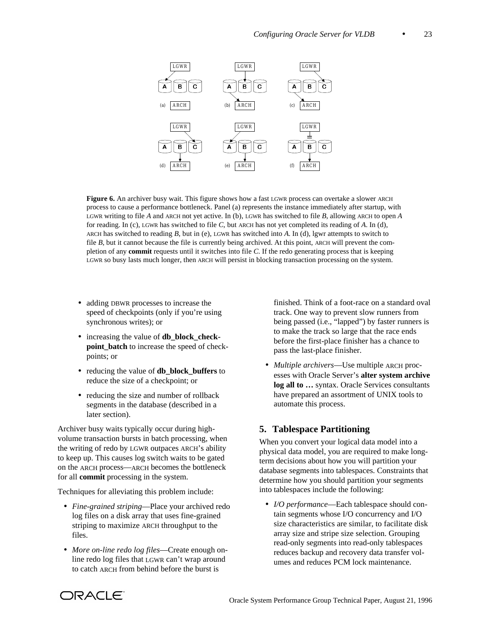

**Figure 6.** An archiver busy wait. This figure shows how a fast LGWR process can overtake a slower ARCH process to cause a performance bottleneck. Panel (a) represents the instance immediately after startup, with LGWR writing to file *A* and ARCH not yet active. In (b), LGWR has switched to file *B*, allowing ARCH to open *A* for reading. In (c), LGWR has switched to file *C*, but ARCH has not yet completed its reading of *A*. In (d), ARCH has switched to reading *B*, but in (e), LGWR has switched into *A*. In (d), lgwr attempts to switch to file *B*, but it cannot because the file is currently being archived. At this point, ARCH will prevent the completion of any **commit** requests until it switches into file *C*. If the redo generating process that is keeping LGWR so busy lasts much longer, then ARCH will persist in blocking transaction processing on the system.

- adding DBWR processes to increase the speed of checkpoints (only if you're using synchronous writes); or
- increasing the value of **db\_block\_checkpoint\_batch** to increase the speed of checkpoints; or
- reducing the value of **db** block buffers to reduce the size of a checkpoint; or
- reducing the size and number of rollback segments in the database (described in a later section).

Archiver busy waits typically occur during highvolume transaction bursts in batch processing, when the writing of redo by LGWR outpaces ARCH's ability to keep up. This causes log switch waits to be gated on the ARCH process—ARCH becomes the bottleneck for all **commit** processing in the system.

Techniques for alleviating this problem include:

- *Fine-grained striping*—Place your archived redo log files on a disk array that uses fine-grained striping to maximize ARCH throughput to the files.
- *More on-line redo log files*—Create enough online redo log files that LGWR can't wrap around to catch ARCH from behind before the burst is

finished. Think of a foot-race on a standard oval track. One way to prevent slow runners from being passed (i.e., "lapped") by faster runners is to make the track so large that the race ends before the first-place finisher has a chance to pass the last-place finisher.

 • *Multiple archivers*—Use multiple ARCH processes with Oracle Server's **alter system archive log all to …** syntax. Oracle Services consultants have prepared an assortment of UNIX tools to automate this process.

# **5. Tablespace Partitioning**

When you convert your logical data model into a physical data model, you are required to make longterm decisions about how you will partition your database segments into tablespaces. Constraints that determine how you should partition your segments into tablespaces include the following:

 • *I/O performance*—Each tablespace should contain segments whose I/O concurrency and I/O size characteristics are similar, to facilitate disk array size and stripe size selection. Grouping read-only segments into read-only tablespaces reduces backup and recovery data transfer volumes and reduces PCM lock maintenance.

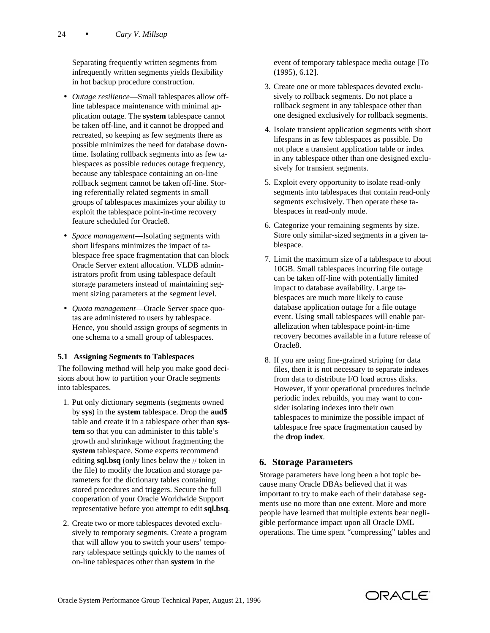Separating frequently written segments from infrequently written segments yields flexibility in hot backup procedure construction.

- *Outage resilience*—Small tablespaces allow offline tablespace maintenance with minimal application outage. The **system** tablespace cannot be taken off-line, and it cannot be dropped and recreated, so keeping as few segments there as possible minimizes the need for database downtime. Isolating rollback segments into as few tablespaces as possible reduces outage frequency, because any tablespace containing an on-line rollback segment cannot be taken off-line. Storing referentially related segments in small groups of tablespaces maximizes your ability to exploit the tablespace point-in-time recovery feature scheduled for Oracle8.
- *Space management*—Isolating segments with short lifespans minimizes the impact of tablespace free space fragmentation that can block Oracle Server extent allocation. VLDB administrators profit from using tablespace default storage parameters instead of maintaining segment sizing parameters at the segment level.
- *Quota management*—Oracle Server space quotas are administered to users by tablespace. Hence, you should assign groups of segments in one schema to a small group of tablespaces.

# **5.1 Assigning Segments to Tablespaces**

The following method will help you make good decisions about how to partition your Oracle segments into tablespaces.

- 1. Put only dictionary segments (segments owned by **sys**) in the **system** tablespace. Drop the **aud\$** table and create it in a tablespace other than **system** so that you can administer to this table's growth and shrinkage without fragmenting the **system** tablespace. Some experts recommend editing **sql.bsq** (only lines below the // token in the file) to modify the location and storage parameters for the dictionary tables containing stored procedures and triggers. Secure the full cooperation of your Oracle Worldwide Support representative before you attempt to edit **sql.bsq**.
- 2. Create two or more tablespaces devoted exclusively to temporary segments. Create a program that will allow you to switch your users' temporary tablespace settings quickly to the names of on-line tablespaces other than **system** in the

event of temporary tablespace media outage [To (1995), 6.12].

- 3. Create one or more tablespaces devoted exclusively to rollback segments. Do not place a rollback segment in any tablespace other than one designed exclusively for rollback segments.
- 4. Isolate transient application segments with short lifespans in as few tablespaces as possible. Do not place a transient application table or index in any tablespace other than one designed exclusively for transient segments.
- 5. Exploit every opportunity to isolate read-only segments into tablespaces that contain read-only segments exclusively. Then operate these tablespaces in read-only mode.
- 6. Categorize your remaining segments by size. Store only similar-sized segments in a given tablespace.
- 7. Limit the maximum size of a tablespace to about 10GB. Small tablespaces incurring file outage can be taken off-line with potentially limited impact to database availability. Large tablespaces are much more likely to cause database application outage for a file outage event. Using small tablespaces will enable parallelization when tablespace point-in-time recovery becomes available in a future release of Oracle8.
- 8. If you are using fine-grained striping for data files, then it is not necessary to separate indexes from data to distribute I/O load across disks. However, if your operational procedures include periodic index rebuilds, you may want to consider isolating indexes into their own tablespaces to minimize the possible impact of tablespace free space fragmentation caused by the **drop index**.

# **6. Storage Parameters**

Storage parameters have long been a hot topic because many Oracle DBAs believed that it was important to try to make each of their database segments use no more than one extent. More and more people have learned that multiple extents bear negligible performance impact upon all Oracle DML operations. The time spent "compressing" tables and

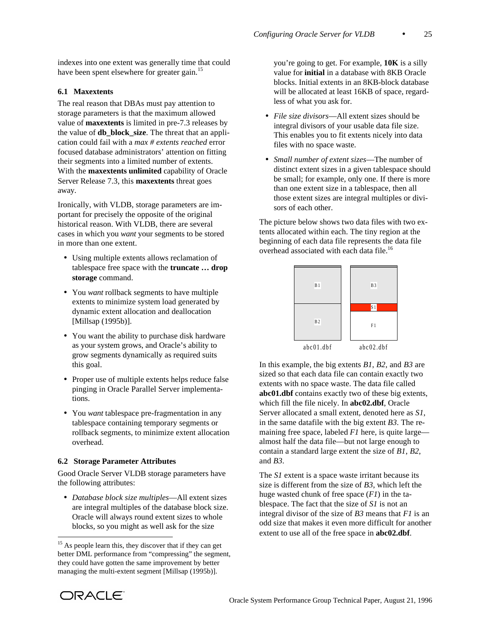indexes into one extent was generally time that could have been spent elsewhere for greater gain.<sup>15</sup>

### **6.1 Maxextents**

The real reason that DBAs must pay attention to storage parameters is that the maximum allowed value of **maxextents** is limited in pre-7.3 releases by the value of **db\_block\_size**. The threat that an application could fail with a *max # extents reached* error focused database administrators' attention on fitting their segments into a limited number of extents. With the **maxextents unlimited** capability of Oracle Server Release 7.3, this **maxextents** threat goes away.

Ironically, with VLDB, storage parameters are important for precisely the opposite of the original historical reason. With VLDB, there are several cases in which you *want* your segments to be stored in more than one extent.

- Using multiple extents allows reclamation of tablespace free space with the **truncate … drop storage** command.
- You *want* rollback segments to have multiple extents to minimize system load generated by dynamic extent allocation and deallocation [Millsap (1995b)].
- You want the ability to purchase disk hardware as your system grows, and Oracle's ability to grow segments dynamically as required suits this goal.
- Proper use of multiple extents helps reduce false pinging in Oracle Parallel Server implementations.
- You *want* tablespace pre-fragmentation in any tablespace containing temporary segments or rollback segments, to minimize extent allocation overhead.

#### **6.2 Storage Parameter Attributes**

Good Oracle Server VLDB storage parameters have the following attributes:

 • *Database block size multiples*—All extent sizes are integral multiples of the database block size. Oracle will always round extent sizes to whole blocks, so you might as well ask for the size

you're going to get. For example, **10K** is a silly value for **initial** in a database with 8KB Oracle blocks. Initial extents in an 8KB-block database will be allocated at least 16KB of space, regardless of what you ask for.

- *File size divisors*—All extent sizes should be integral divisors of your usable data file size. This enables you to fit extents nicely into data files with no space waste.
- *Small number of extent sizes*—The number of distinct extent sizes in a given tablespace should be small; for example, only one. If there is more than one extent size in a tablespace, then all those extent sizes are integral multiples or divisors of each other.

The picture below shows two data files with two extents allocated within each. The tiny region at the beginning of each data file represents the data file overhead associated with each data file.<sup>16</sup>



In this example, the big extents *B1*, *B2*, and *B3* are sized so that each data file can contain exactly two extents with no space waste. The data file called **abc01.dbf** contains exactly two of these big extents, which fill the file nicely. In **abc02.dbf**, Oracle Server allocated a small extent, denoted here as *S1*, in the same datafile with the big extent *B3*. The remaining free space, labeled *F1* here, is quite large almost half the data file—but not large enough to contain a standard large extent the size of *B1*, *B2*, and *B3*.

The *S1* extent is a space waste irritant because its size is different from the size of *B3*, which left the huge wasted chunk of free space (*F1*) in the tablespace. The fact that the size of *S1* is not an integral divisor of the size of *B3* means that *F1* is an odd size that makes it even more difficult for another extent to use all of the free space in **abc02.dbf**.



-

<sup>&</sup>lt;sup>15</sup> As people learn this, they discover that if they can get better DML performance from "compressing" the segment, they could have gotten the same improvement by better managing the multi-extent segment [Millsap (1995b)].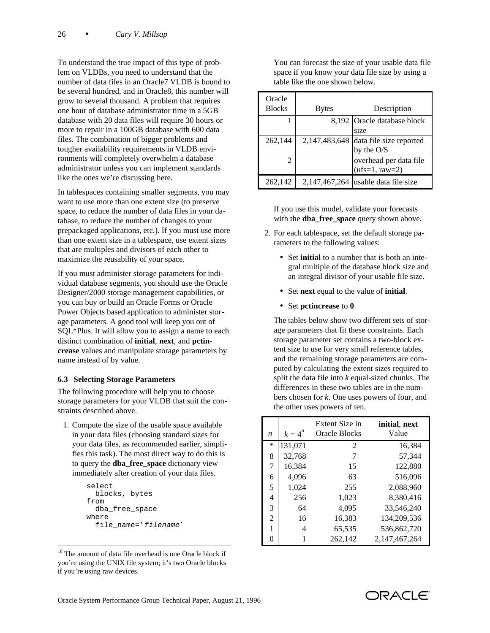To understand the true impact of this type of problem on VLDBs, you need to understand that the number of data files in an Oracle7 VLDB is bound to be several hundred, and in Oracle8, this number will grow to several thousand. A problem that requires one hour of database administrator time in a 5GB database with 20 data files will require 30 hours or more to repair in a 100GB database with 600 data files. The combination of bigger problems and tougher availability requirements in VLDB environments will completely overwhelm a database administrator unless you can implement standards like the ones we're discussing here.

In tablespaces containing smaller segments, you may want to use more than one extent size (to preserve space, to reduce the number of data files in your database, to reduce the number of changes to your prepackaged applications, etc.). If you must use more than one extent size in a tablespace, use extent sizes that are multiples and divisors of each other to maximize the reusability of your space.

If you must administer storage parameters for individual database segments, you should use the Oracle Designer/2000 storage management capabilities, or you can buy or build an Oracle Forms or Oracle Power Objects based application to administer storage parameters. A good tool will keep you out of SQL\*Plus. It will allow you to assign a name to each distinct combination of **initial**, **next**, and **pctincrease** values and manipulate storage parameters by name instead of by value.

### **6.3 Selecting Storage Parameters**

The following procedure will help you to choose storage parameters for your VLDB that suit the constraints described above.

 1. Compute the size of the usable space available in your data files (choosing standard sizes for your data files, as recommended earlier, simplifies this task). The most direct way to do this is to query the **dba\_free\_space** dictionary view immediately after creation of your data files.

```
select
  blocks, bytes
from
   dba_free_space
where
   file_name='filename'
```
-

 You can forecast the size of your usable data file space if you know your data file size by using a table like the one shown below.

| Oracle<br><b>Blocks</b> | <b>Bytes</b>     | Description                 |
|-------------------------|------------------|-----------------------------|
|                         |                  |                             |
|                         |                  | 8,192 Oracle database block |
|                         |                  | size                        |
| 262,144                 | 2,147,483,648    | data file size reported     |
|                         |                  | by the O/S                  |
| 2                       |                  | overhead per data file      |
|                         |                  | $(ufs=1, raw=2)$            |
| 262,142                 | 2, 147, 467, 264 | usable data file size       |

 If you use this model, validate your forecasts with the **dba\_free\_space** query shown above.

- 2. For each tablespace, set the default storage parameters to the following values:
	- Set **initial** to a number that is both an integral multiple of the database block size and an integral divisor of your usable file size.
	- Set **next** equal to the value of **initial**.
	- Set **pctincrease** to **0**.

 The tables below show two different sets of storage parameters that fit these constraints. Each storage parameter set contains a two-block extent size to use for very small reference tables, and the remaining storage parameters are computed by calculating the extent sizes required to split the data file into *k* equal-sized chunks. The differences in these two tables are in the numbers chosen for *k*. One uses powers of four, and the other uses powers of ten.

| n              | $k=4^n$ | Extent Size in<br>Oracle Blocks | initial, next<br>Value |
|----------------|---------|---------------------------------|------------------------|
| *              | 131,071 | $\mathfrak{D}$                  | 16,384                 |
| 8              | 32,768  | 7                               | 57,344                 |
| 7              | 16,384  | 15                              | 122,880                |
| 6              | 4,096   | 63                              | 516,096                |
| 5              | 1,024   | 255                             | 2,088,960              |
| 4              | 256     | 1,023                           | 8,380,416              |
| 3              | 64      | 4,095                           | 33,546,240             |
| $\overline{c}$ | 16      | 16,383                          | 134,209,536            |
| 1              | 4       | 65,535                          | 536,862,720            |
| 0              | 1       | 262,142                         | 2,147,467,264          |

<sup>&</sup>lt;sup>16</sup> The amount of data file overhead is one Oracle block if you're using the UNIX file system; it's two Oracle blocks if you're using raw devices.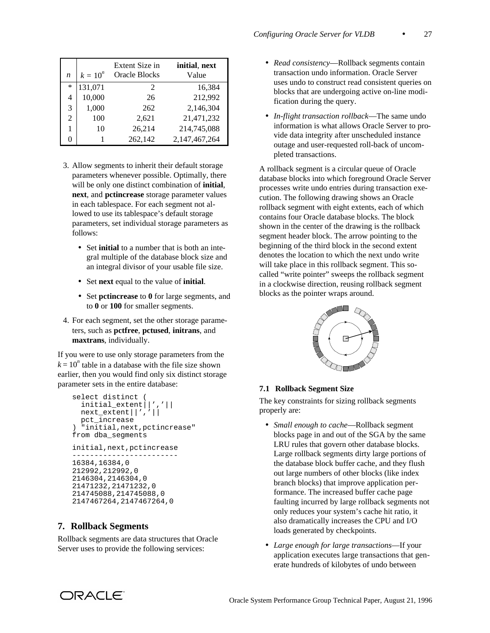| n      | $k = 10^n$ | Extent Size in<br>Oracle Blocks | initial, next<br>Value |
|--------|------------|---------------------------------|------------------------|
| $\ast$ | 131,071    | $\mathcal{L}$                   | 16.384                 |
| 4      | 10,000     | 26                              | 212,992                |
| 3      | 1,000      | 262                             | 2,146,304              |
| 2      | 100        | 2,621                           | 21,471,232             |
| 1      | 10         | 26,214                          | 214,745,088            |
| 0      |            | 262,142                         | 2,147,467,264          |

- 3. Allow segments to inherit their default storage parameters whenever possible. Optimally, there will be only one distinct combination of **initial**, **next**, and **pctincrease** storage parameter values in each tablespace. For each segment not allowed to use its tablespace's default storage parameters, set individual storage parameters as follows:
	- Set **initial** to a number that is both an integral multiple of the database block size and an integral divisor of your usable file size.
	- Set **next** equal to the value of **initial**.
	- Set **pctincrease** to **0** for large segments, and to **0** or **100** for smaller segments.
- 4. For each segment, set the other storage parameters, such as **pctfree**, **pctused**, **initrans**, and **maxtrans**, individually.

If you were to use only storage parameters from the  $k = 10^n$  table in a database with the file size shown earlier, then you would find only six distinct storage parameter sets in the entire database:

```
select distinct (
  initial_extent||','||
  next_extent||','||
  pct_increase
) "initial,next,pctincrease"
from dba_segments
initial,next,pctincrease
------------------------
16384,16384,0
212992,212992,0
2146304,2146304,0
21471232,21471232,0
214745088,214745088,0
2147467264,2147467264,0
```
# **7. Rollback Segments**

Rollback segments are data structures that Oracle Server uses to provide the following services:

- *Read consistency*—Rollback segments contain transaction undo information. Oracle Server uses undo to construct read consistent queries on blocks that are undergoing active on-line modification during the query.
- *In-flight transaction rollback*—The same undo information is what allows Oracle Server to provide data integrity after unscheduled instance outage and user-requested roll-back of uncompleted transactions.

A rollback segment is a circular queue of Oracle database blocks into which foreground Oracle Server processes write undo entries during transaction execution. The following drawing shows an Oracle rollback segment with eight extents, each of which contains four Oracle database blocks. The block shown in the center of the drawing is the rollback segment header block. The arrow pointing to the beginning of the third block in the second extent denotes the location to which the next undo write will take place in this rollback segment. This socalled "write pointer" sweeps the rollback segment in a clockwise direction, reusing rollback segment blocks as the pointer wraps around.



### **7.1 Rollback Segment Size**

The key constraints for sizing rollback segments properly are:

- *Small enough to cache*—Rollback segment blocks page in and out of the SGA by the same LRU rules that govern other database blocks. Large rollback segments dirty large portions of the database block buffer cache, and they flush out large numbers of other blocks (like index branch blocks) that improve application performance. The increased buffer cache page faulting incurred by large rollback segments not only reduces your system's cache hit ratio, it also dramatically increases the CPU and I/O loads generated by checkpoints.
- *Large enough for large transactions*—If your application executes large transactions that generate hundreds of kilobytes of undo between

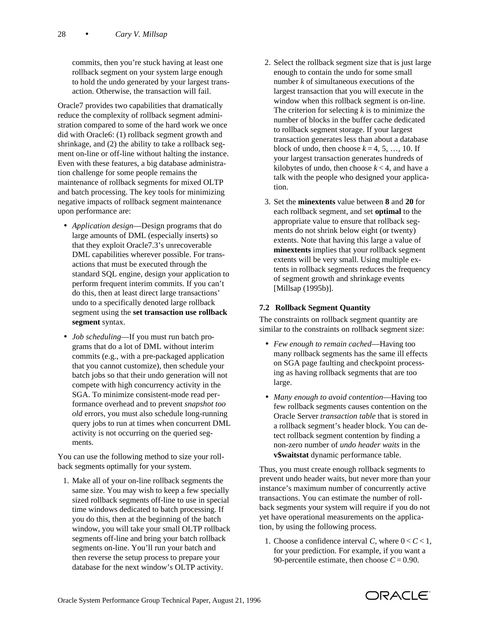commits, then you're stuck having at least one rollback segment on your system large enough to hold the undo generated by your largest transaction. Otherwise, the transaction will fail.

Oracle7 provides two capabilities that dramatically reduce the complexity of rollback segment administration compared to some of the hard work we once did with Oracle6: (1) rollback segment growth and shrinkage, and (2) the ability to take a rollback segment on-line or off-line without halting the instance. Even with these features, a big database administration challenge for some people remains the maintenance of rollback segments for mixed OLTP and batch processing. The key tools for minimizing negative impacts of rollback segment maintenance upon performance are:

- *Application design*—Design programs that do large amounts of DML (especially inserts) so that they exploit Oracle7.3's unrecoverable DML capabilities wherever possible. For transactions that must be executed through the standard SQL engine, design your application to perform frequent interim commits. If you can't do this, then at least direct large transactions' undo to a specifically denoted large rollback segment using the **set transaction use rollback segment** syntax.
- *Job scheduling*—If you must run batch programs that do a lot of DML without interim commits (e.g., with a pre-packaged application that you cannot customize), then schedule your batch jobs so that their undo generation will not compete with high concurrency activity in the SGA. To minimize consistent-mode read performance overhead and to prevent *snapshot too old* errors, you must also schedule long-running query jobs to run at times when concurrent DML activity is not occurring on the queried segments.

You can use the following method to size your rollback segments optimally for your system.

 1. Make all of your on-line rollback segments the same size. You may wish to keep a few specially sized rollback segments off-line to use in special time windows dedicated to batch processing. If you do this, then at the beginning of the batch window, you will take your small OLTP rollback segments off-line and bring your batch rollback segments on-line. You'll run your batch and then reverse the setup process to prepare your database for the next window's OLTP activity.

- 2. Select the rollback segment size that is just large enough to contain the undo for some small number *k* of simultaneous executions of the largest transaction that you will execute in the window when this rollback segment is on-line. The criterion for selecting *k* is to minimize the number of blocks in the buffer cache dedicated to rollback segment storage. If your largest transaction generates less than about a database block of undo, then choose  $k = 4, 5, \ldots, 10$ . If your largest transaction generates hundreds of kilobytes of undo, then choose  $k < 4$ , and have a talk with the people who designed your application.
- 3. Set the **minextents** value between **8** and **20** for each rollback segment, and set **optimal** to the appropriate value to ensure that rollback segments do not shrink below eight (or twenty) extents. Note that having this large a value of **minextents** implies that your rollback segment extents will be very small. Using multiple extents in rollback segments reduces the frequency of segment growth and shrinkage events [Millsap (1995b)].

# **7.2 Rollback Segment Quantity**

The constraints on rollback segment quantity are similar to the constraints on rollback segment size:

- *Few enough to remain cached*—Having too many rollback segments has the same ill effects on SGA page faulting and checkpoint processing as having rollback segments that are too large.
- *Many enough to avoid contention*—Having too few rollback segments causes contention on the Oracle Server *transaction table* that is stored in a rollback segment's header block. You can detect rollback segment contention by finding a non-zero number of *undo header waits* in the **v\$waitstat** dynamic performance table.

Thus, you must create enough rollback segments to prevent undo header waits, but never more than your instance's maximum number of concurrently active transactions. You can estimate the number of rollback segments your system will require if you do not yet have operational measurements on the application, by using the following process.

1. Choose a confidence interval *C*, where  $0 < C < 1$ , for your prediction. For example, if you want a 90-percentile estimate, then choose  $C = 0.90$ .

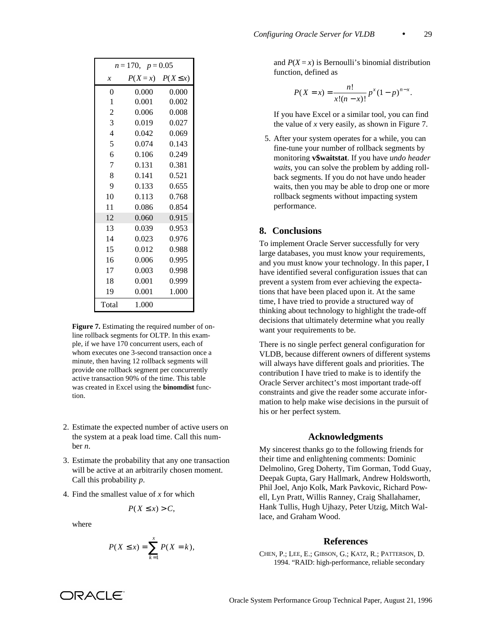| $n = 170$ , $p = 0.05$ |                        |       |  |
|------------------------|------------------------|-------|--|
| $\mathcal{X}$          | $P(X=x)$ $P(X \leq x)$ |       |  |
| $\theta$               | 0.000                  | 0.000 |  |
| 1                      | 0.001                  | 0.002 |  |
| $\overline{2}$         | 0.006                  | 0.008 |  |
| 3                      | 0.019                  | 0.027 |  |
| $\overline{4}$         | 0.042                  | 0.069 |  |
| 5                      | 0.074                  | 0.143 |  |
| 6                      | 0.106                  | 0.249 |  |
| 7                      | 0.131                  | 0.381 |  |
| 8                      | 0.141                  | 0.521 |  |
| 9                      | 0.133                  | 0.655 |  |
| 10                     | 0.113                  | 0.768 |  |
| 11                     | 0.086                  | 0.854 |  |
| 12                     | 0.060                  | 0.915 |  |
| 13                     | 0.039                  | 0.953 |  |
| 14                     | 0.023                  | 0.976 |  |
| 15                     | 0.012                  | 0.988 |  |
| 16                     | 0.006                  | 0.995 |  |
| 17                     | 0.003                  | 0.998 |  |
| 18                     | 0.001                  | 0.999 |  |
| 19                     | 0.001                  | 1.000 |  |
| Total                  | 1.000                  |       |  |

**Figure 7.** Estimating the required number of online rollback segments for OLTP. In this example, if we have 170 concurrent users, each of whom executes one 3-second transaction once a minute, then having 12 rollback segments will provide one rollback segment per concurrently active transaction 90% of the time. This table was created in Excel using the **binomdist** function.

- 2. Estimate the expected number of active users on the system at a peak load time. Call this number *n*.
- 3. Estimate the probability that any one transaction will be active at an arbitrarily chosen moment. Call this probability *p*.
- 4. Find the smallest value of *x* for which

$$
P(X \le x) > C
$$

where

$$
P(X \le x) = \sum_{k=1}^{x} P(X = k),
$$

and  $P(X = x)$  is Bernoulli's binomial distribution function, defined as

$$
P(X = x) = \frac{n!}{x!(n-x)!} p^{x} (1-p)^{n-x}.
$$

 If you have Excel or a similar tool, you can find the value of *x* very easily, as shown in Figure 7.

 5. After your system operates for a while, you can fine-tune your number of rollback segments by monitoring **v\$waitstat**. If you have *undo header waits*, you can solve the problem by adding rollback segments. If you do not have undo header waits, then you may be able to drop one or more rollback segments without impacting system performance.

### **8. Conclusions**

To implement Oracle Server successfully for very large databases, you must know your requirements, and you must know your technology. In this paper, I have identified several configuration issues that can prevent a system from ever achieving the expectations that have been placed upon it. At the same time, I have tried to provide a structured way of thinking about technology to highlight the trade-off decisions that ultimately determine what you really want your requirements to be.

There is no single perfect general configuration for VLDB, because different owners of different systems will always have different goals and priorities. The contribution I have tried to make is to identify the Oracle Server architect's most important trade-off constraints and give the reader some accurate information to help make wise decisions in the pursuit of his or her perfect system.

#### **Acknowledgments**

My sincerest thanks go to the following friends for their time and enlightening comments: Dominic Delmolino, Greg Doherty, Tim Gorman, Todd Guay, Deepak Gupta, Gary Hallmark, Andrew Holdsworth, Phil Joel, Anjo Kolk, Mark Pavkovic, Richard Powell, Lyn Pratt, Willis Ranney, Craig Shallahamer, Hank Tullis, Hugh Ujhazy, Peter Utzig, Mitch Wallace, and Graham Wood.

#### **References**

CHEN, P.; LEE, E.; GIBSON, G.; KATZ, R.; PATTERSON, D. 1994. "RAID: high-performance, reliable secondary